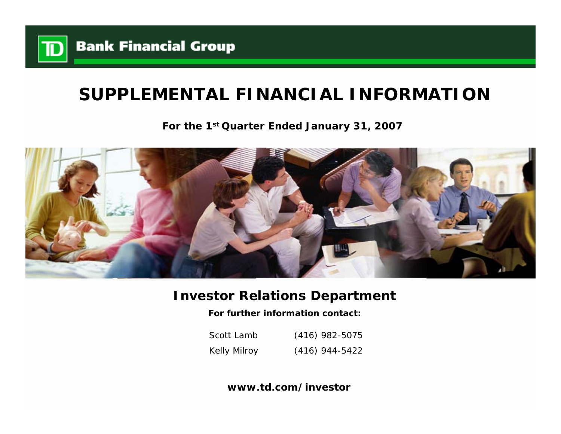

# **SUPPLEMENTAL FINANCIAL INFORMATION**

**For the 1st Quarter Ended January 31, 2007**



# **Investor Relations Department**

**For further information contact:**

Scott LambKelly Milroy (416) 982-5075 (416) 944-5422

**www.td.com/investor**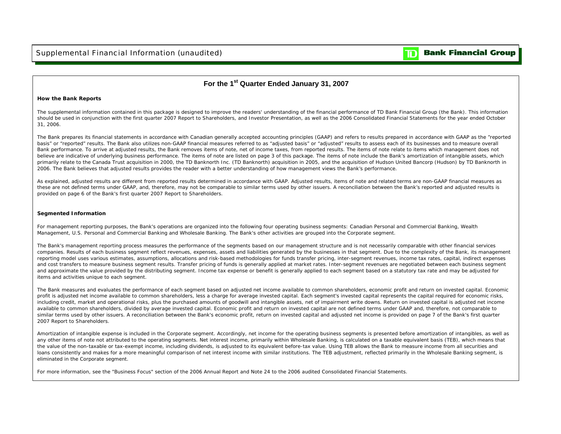#### **Bank Financial Group** D

### **For the 1st Quarter Ended January 31, 2007**

### **How the Bank Reports**

The supplemental information contained in this package is designed to improve the readers' understanding of the financial performance of TD Bank Financial Group (the Bank). This information should be used in conjunction with the first quarter 2007 Report to Shareholders, and Investor Presentation, as well as the 2006 Consolidated Financial Statements for the year ended October 31, 2006.

The Bank prepares its financial statements in accordance with Canadian generally accepted accounting principles (GAAP) and refers to results prepared in accordance with GAAP as the "reported basis" or "reported" results. The Bank also utilizes non-GAAP financial measures referred to as "adjusted basis" or "adjusted" results to assess each of its businesses and to measure overall Bank performance. To arrive at adjusted results, the Bank removes items of note, net of income taxes, from reported results. The items of note relate to items which management does not believe are indicative of underlying business performance. The items of note are listed on page 3 of this package. The items of note include the Bank's amortization of intangible assets, which primarily relate to the Canada Trust acquisition in 2000, the TD Banknorth Inc. (TD Banknorth) acquisition in 2005, and the acquisition of Hudson United Bancorp (Hudson) by TD Banknorth in 2006. The Bank believes that adjusted results provides the reader with a better understanding of how management views the Bank's performance.

As explained, adjusted results are different from reported results determined in accordance with GAAP. Adjusted results, items of note and related terms are non-GAAP financial measures as these are not defined terms under GAAP, and, therefore, may not be comparable to similar terms used by other issuers. A reconciliation between the Bank's reported and adjusted results is provided on page 6 of the Bank's first quarter 2007 Report to Shareholders.

### **Segmented Information**

For management reporting purposes, the Bank's operations are organized into the following four operating business segments: Canadian Personal and Commercial Banking, Wealth Management, U.S. Personal and Commercial Banking and Wholesale Banking. The Bank's other activities are grouped into the Corporate segment.

The Bank's management reporting process measures the performance of the segments based on our management structure and is not necessarily comparable with other financial services companies. Results of each business segment reflect revenues, expenses, assets and liabilities generated by the businesses in that segment. Due to the complexity of the Bank, its management reporting model uses various estimates, assumptions, allocations and risk-based methodologies for funds transfer pricing, inter-segment revenues, income tax rates, capital, indirect expenses and cost transfers to measure business segment results. Transfer pricing of funds is generally applied at market rates. Inter-segment revenues are negotiated between each business segment and approximate the value provided by the distributing segment. Income tax expense or benefit is generally applied to each segment based on a statutory tax rate and may be adjusted for items and activities unique to each segment.

The Bank measures and evaluates the performance of each segment based on adjusted net income available to common shareholders, economic profit and return on invested capital. Economic profit is adjusted net income available to common shareholders, less a charge for average invested capital. Each segment's invested capital represents the capital required for economic risks, including credit, market and operational risks, plus the purchased amounts of goodwill and intangible assets, net of impairment write downs. Return on invested capital is adjusted net income available to common shareholders, divided by average invested capital. Economic profit and return on invested capital are not defined terms under GAAP and, therefore, not comparable to similar terms used by other issuers. A reconciliation between the Bank's economic profit, return on invested capital and adjusted net income is provided on page 7 of the Bank's first quarter 2007 Report to Shareholders.

Amortization of intangible expense is included in the Corporate segment. Accordingly, net income for the operating business segments is presented before amortization of intangibles, as well as any other items of note not attributed to the operating segments. Net interest income, primarily within Wholesale Banking, is calculated on a taxable equivalent basis (TEB), which means that the value of the non-taxable or tax-exempt income, including dividends, is adjusted to its equivalent before-tax value. Using TEB allows the Bank to measure income from all securities and loans consistently and makes for a more meaningful comparison of net interest income with similar institutions. The TEB adjustment, reflected primarily in the Wholesale Banking segment, is eliminated in the Corporate segment.

For more information, see the "Business Focus" section of the 2006 Annual Report and Note 24 to the 2006 audited Consolidated Financial Statements.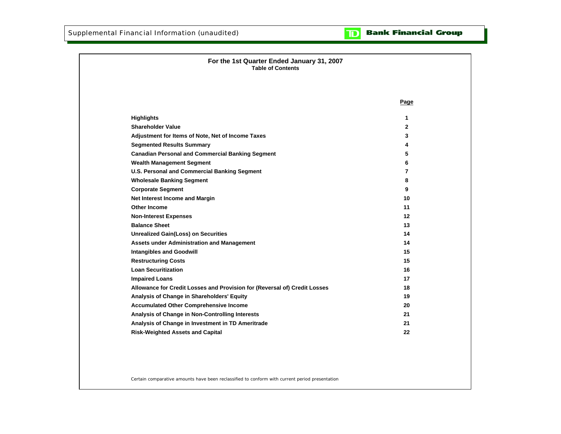

| For the 1st Quarter Ended January 31, 2007<br><b>Table of Contents</b>    |                |
|---------------------------------------------------------------------------|----------------|
|                                                                           |                |
|                                                                           | Page           |
| <b>Highlights</b>                                                         | 1              |
| <b>Shareholder Value</b>                                                  | $\mathbf{2}$   |
| Adjustment for Items of Note, Net of Income Taxes                         | 3              |
| <b>Segmented Results Summary</b>                                          | 4              |
| <b>Canadian Personal and Commercial Banking Segment</b>                   | 5              |
| <b>Wealth Management Segment</b>                                          | 6              |
| <b>U.S. Personal and Commercial Banking Segment</b>                       | $\overline{7}$ |
| <b>Wholesale Banking Segment</b>                                          | 8              |
| <b>Corporate Segment</b>                                                  | 9              |
| Net Interest Income and Margin                                            | 10             |
| Other Income                                                              | 11             |
| <b>Non-Interest Expenses</b>                                              | 12             |
| <b>Balance Sheet</b>                                                      | 13             |
| <b>Unrealized Gain(Loss) on Securities</b>                                | 14             |
| Assets under Administration and Management                                | 14             |
| <b>Intangibles and Goodwill</b>                                           | 15             |
| <b>Restructuring Costs</b>                                                | 15             |
| <b>Loan Securitization</b>                                                | 16             |
| <b>Impaired Loans</b>                                                     | 17             |
| Allowance for Credit Losses and Provision for (Reversal of) Credit Losses | 18             |
| Analysis of Change in Shareholders' Equity                                | 19             |
| <b>Accumulated Other Comprehensive Income</b>                             | 20             |
| Analysis of Change in Non-Controlling Interests                           | 21             |
| Analysis of Change in Investment in TD Ameritrade                         | 21             |
| <b>Risk-Weighted Assets and Capital</b>                                   | 22             |

Certain comparative amounts have been reclassified to conform with current period presentation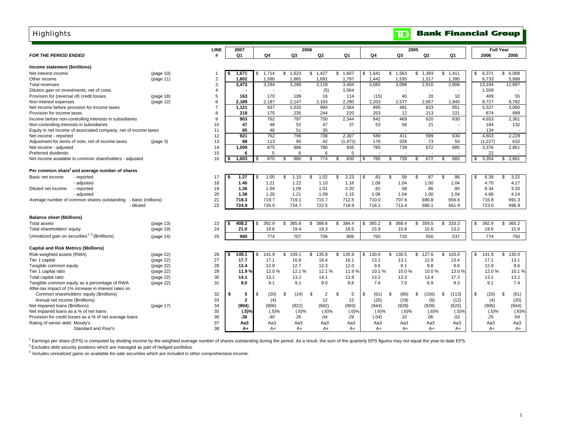# **Highlights**

|                                                                 |                    | LINE                    | 2007          |     |              |                          | 2006        |             |             |         | 2005  |             |             |     |              | <b>Full Year</b> |
|-----------------------------------------------------------------|--------------------|-------------------------|---------------|-----|--------------|--------------------------|-------------|-------------|-------------|---------|-------|-------------|-------------|-----|--------------|------------------|
| <b>FOR THE PERIOD ENDED</b>                                     |                    | #                       | Q1            | Q4  |              | Q3                       | Q2          | Q1          | Q4          |         | Q3    | Q2          | Q1          |     | 2006         | 2005             |
| Income statement (\$millions)                                   |                    |                         |               |     |              |                          |             |             |             |         |       |             |             |     |              |                  |
| Net interest income                                             | (page 10)          | $\overline{\mathbf{1}}$ | 1.671         | \$  | 1.714        | \$1.623                  | \$1.427     | 1.607<br>\$ | 1,641<br>\$ | \$1,563 |       | \$1.393     | \$1.411     | \$  | 6,371        | \$<br>6.008      |
| Other income                                                    | (page 11)          | $\overline{2}$          | 1,802         |     | 1,580        | 1,665                    | 1,691       | 1,797       | 1,442       |         | 1,535 | 1,517       | 1,395       |     | 6,733        | 5,889            |
| Total revenues                                                  |                    | 3                       | 3,473         |     | 3,294        | 3,288                    | 3,118       | 3,404       | 3,083       |         | 3,098 | 2,910       | 2,806       |     | 13,104       | 11,897           |
| Dilution gain on investments, net of costs                      |                    | $\overline{\mathbf{A}}$ |               |     |              |                          | (5)         | 1,564       |             |         |       |             |             |     | 1,559        |                  |
| Provision for (reversal of) credit losses                       | (page 18)          | 5                       | 163           |     | 170          | 109                      | 16          | 114         | (15)        |         | 40    | 20          | 10          |     | 409          | 55               |
| Non-interest expenses                                           | (page 12)          | 6                       | 2,189         |     | 2,187        | 2,147                    | 2,103       | 2,290       | 2,203       |         | 2,577 | 2,057       | 1,945       |     | 8,727        | 8,782            |
| Net income before provision for income taxes                    |                    | $\overline{7}$          | 1,121         |     | 937          | 1,032                    | 994         | 2,564       | 895         |         | 481   | 833         | 851         |     | 5,527        | 3,060            |
| Provision for income taxes                                      |                    | 8                       | 218           |     | 175          | 235                      | 244         | 220         | 253         |         | 12    | 213         | 221         |     | 874          | 699              |
| Income before non-controlling interests in subsidiaries         |                    | 9                       | 903           |     | 762          | 797                      | 750         | 2,344       | 642         |         | 469   | 620         | 630         |     | 4.653        | 2,361            |
| Non-controlling interests in subsidiaries                       |                    | 10                      | 47            |     | 48           | 52                       | 47          | 37          | 53          |         | 58    | 21          |             |     | 184          | 132              |
| Equity in net income of associated company, net of income taxes |                    | 11                      | 65            |     | 48           | 51                       | 35          |             |             |         |       |             | $\sim$      |     | 134          | ۰.               |
| Net income - reported                                           |                    | 12                      | 921           |     | 762          | 796                      | 738         | 2,307       | 589         |         | 411   | 599         | 630         |     | 4,603        | 2,229            |
| Adjustment for items of note, net of income taxes               | (page 3)           | 13                      | 88            |     | 113          | 90                       | 42          | (1, 472)    | 176         |         | 328   | 73          | 55          |     | (1,227)      | 632              |
| Net income - adjusted                                           |                    | 14                      | 1,009         |     | 875          | 886                      | 780         | 835         | 765         |         | 739   | 672         | 685         |     | 3,376        | 2,861            |
| Preferred dividends                                             |                    | 15                      | 6             |     | 5            | 6                        | 6           | 5           |             |         |       |             |             |     | 22           |                  |
| Net income available to common shareholders - adjusted          |                    | 16                      | 1,003<br>\$   |     | 870          | 880<br>\$.               | 774<br>\$   | 830<br>\$   | 765<br>\$.  | \$      | 739   | 672<br>\$   | 685<br>\$.  | \$  | 3,354        | 2,861<br>\$      |
|                                                                 |                    |                         |               |     |              |                          |             |             |             |         |       |             |             |     |              |                  |
| Per common share and average number of shares                   |                    |                         |               |     |              |                          |             |             |             |         |       |             |             |     |              |                  |
| Basic net income<br>- reported                                  |                    | 17                      | 1.27<br>- \$  | \$  | 1.05         | 1.10<br>\$               | 1.02<br>\$  | 3.23<br>\$  | .83<br>\$   | \$      | .58   | .87<br>\$   | S.<br>.96   | \$  | 6.39         | \$<br>3.22       |
| - adjusted                                                      |                    | 18                      | 1.40          |     | 1.21         | 1.22                     | 1.10        | 1.16        | 1.08        |         | 1.04  | 1.00        | 1.04        |     | 4.70         | 4.17             |
| - reported<br>Diluted net income                                |                    | 19                      | 1.26          |     | 1.04         | 1.09                     | 1.01        | 3.20        | .82         |         | .58   | .86         | .95         |     | 6.34         | 3.20             |
| - adjusted                                                      |                    | 20                      | 1.38          |     | 1.20         | 1.21                     | 1.09        | 1.15        | 1.06        |         | 1.04  | 1.00        | 1.04        |     | 4.66         | 4.14             |
| Average number of common shares outstanding                     | - basic (millions) | 21                      | 718.3         |     | 719.7        | 719.1                    | 715.7       | 712.5       | 710.0       |         | 707.6 | 690.8       | 656.6       |     | 716.8        | 691.3            |
| - diluted                                                       |                    | 22                      | 724.9         |     | 726.0        | 724.7                    | 722.5       | 718.9       | 716.1       |         | 713.4 | 696.1       | 661.9       |     | 723.0        | 696.9            |
|                                                                 |                    |                         |               |     |              |                          |             |             |             |         |       |             |             |     |              |                  |
| <b>Balance sheet (\$billions)</b>                               |                    |                         |               |     |              |                          |             |             |             |         |       |             |             |     |              |                  |
| Total assets                                                    | (page 13)          | 23                      | 408.2         | \$. | 392.9        | 385.8<br>\$.             | 388.6<br>\$ | 384.4<br>\$ | 365.2<br>\$ | \$      | 368.4 | 359.5<br>\$ | 333.3<br>\$ | \$. | 392.9        | 365.2<br>\$      |
| Total shareholders' equity                                      | (page 19)          | 24                      | 21.0          |     | 19.6         | 19.4                     | 19.3        | 18.5        | 15.9        |         | 15.8  | 15.6        | 13.2        |     | 19.6         | 15.9             |
| Unrealized gain on securities <sup>2, 3</sup> (\$millions)      | (page 14)          | 25                      | 990           |     | 774          | 707                      | 706         | 806         | 750         |         | 733   | 550         | 537         |     | 774          | 750              |
| <b>Capital and Risk Metrics (\$billions)</b>                    |                    |                         |               |     |              |                          |             |             |             |         |       |             |             |     |              |                  |
| Risk-weighted assets (RWA)                                      | (page 22)          | 26                      | 149.1<br>- \$ | \$  | 141.9        | 139.1<br>S.              | 135.8<br>\$ | \$<br>135.9 | 130.0<br>\$ | \$      | 130.5 | \$<br>127.6 | \$<br>103.0 | S   | 141.9        | \$<br>130.0      |
| Tier 1 capital                                                  | (page 22)          | 27                      | 17.7          |     | 17.1         | 16.8                     | 16.4        | 16.1        | 13.1        |         | 13.1  | 12.8        | 13.4        |     | 17.1         | 13.1             |
| Tangible common equity                                          | (page 22)          | 28                      | 13.4          |     | 12.9         | 12.7                     | 12.3        | 12.0        | 9.6         |         | 9.1   | 8.8         | 9.6         |     | 12.9         | 9.6              |
| Tier 1 capital ratio                                            | (page 22)          | 29                      | 11.9%         |     | 12.0%        | 12.1%                    | 12.1%       | 11.9%       | 10.1%       |         | 10.0% | 10.0%       | 13.0%       |     | 12.0%        | 10.1%            |
| Total capital ratio                                             | (page 22)          | 30                      | 14.1          |     | 13.1         | 13.2                     | 14.1        | 13.8        | 13.2        |         | 13.3  | 13.4        | 17.2        |     | 13.1         | 13.2             |
| Tangible common equity as a percentage of RWA                   | (page 22)          | 31                      | 9.0           |     | 9.1          | 9.1                      | 9.0         | 8.8         | 7.4         |         | 7.0   | 6.9         | 9.3         |     | 9.1          | 7.4              |
| After-tax impact of 1% increase in interest rates on            |                    |                         |               |     |              |                          |             |             |             |         |       |             |             |     |              |                  |
| Common shareholders' equity (\$millions)                        |                    | 32                      | 5<br>\$       | S.  | (20)         | \$<br>(14)               | 2<br>\$     | \$<br>5     | \$<br>(61)  | \$      | (66)  | \$<br>(156) | (113)<br>\$ | \$  | (20)         | \$<br>(61)       |
| Annual net income (\$millions)                                  |                    | 33                      | $\mathbf{2}$  |     | (4)          | $\overline{\phantom{a}}$ | 12          | 15          | (20)        |         | (19)  | (6)         | (12)        |     | (4)          | (20)             |
| Net impaired loans (\$millions)                                 |                    | 34                      | (904)         |     | (906)        | (922)                    | (942)       | (993)       | (944)       |         | (928) | (928)       | (625)       |     | (906)        | (944)            |
| Net impaired loans as a % of net loans                          | (page 17)          | 35                      | (.5)%         |     |              | (.6)%                    | (.6)%       | (.6)%       | (.6)%       |         | (.6)% | $(.6)$ %    | $(.5)$ %    |     |              | $(.6)$ %         |
| Provision for credit losses as a % of net average loans         |                    | 36                      | .38           |     | (.5)%<br>.40 | .26                      | .04         | .29         | (.04)       |         | .10   | .06         | .03         |     | (.5)%<br>.25 | .04              |
| Rating of senior debt: Moody's                                  |                    | 37                      | Aa3           |     | Aa3          | Aa3                      | Aa3         | Aa3         | Aa3         |         | Aa3   | Aa3         | Aa3         |     | Aa3          | Aa3              |
| Standard and Poor's                                             |                    | 38                      | A+            |     | $A+$         | A+                       | $A+$        | A+          | $A+$        |         | A+    | A+          | A+          |     | $A+$         | A+               |
|                                                                 |                    |                         |               |     |              |                          |             |             |             |         |       |             |             |     |              |                  |

1 Earnings per share (EPS) is computed by dividing income by the weighted average number of shares outstanding during the period. As a result, the sum of the quarterly EPS figures may not equal the year-to-date EPS.

2 Excludes debt security positions which are managed as part of hedged portfolios.

<sup>3</sup> Includes unrealized gains on available-for-sale securities which are included in other comprehensive income.

**Bank Financial Group** 

 $\blacksquare$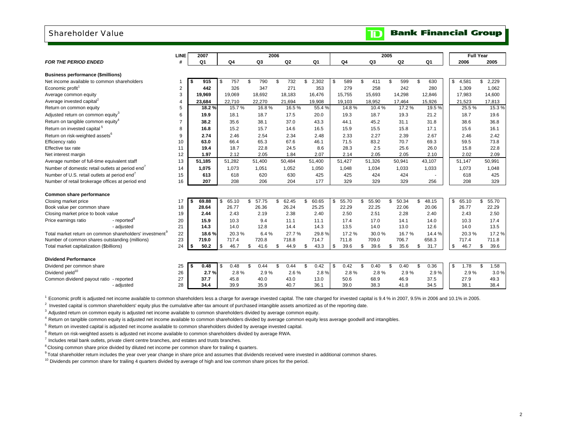### Shareholder Value

|                                                                     | <b>LINE</b>    | 2007        |                |             | 2006        |                |                |             | 2005        |                | <b>Full Year</b> |             |
|---------------------------------------------------------------------|----------------|-------------|----------------|-------------|-------------|----------------|----------------|-------------|-------------|----------------|------------------|-------------|
| <b>FOR THE PERIOD ENDED</b>                                         | #              | Q1          | Q <sub>4</sub> | Q3          | Q2          | Q <sub>1</sub> | Q <sub>4</sub> | Q3          | Q2          | Q <sub>1</sub> | 2006             | 2005        |
| <b>Business performance (\$millions)</b>                            |                |             |                |             |             |                |                |             |             |                |                  |             |
| Net income available to common shareholders                         | 1              | 915<br>-S   | 757<br>-\$     | \$<br>790   | 732<br>\$   | 2,302<br>\$    | 589<br>\$      | \$<br>411   | \$<br>599   | \$<br>630      | 4,581<br>\$      | \$<br>2,229 |
| Economic profit <sup>1</sup>                                        | $\overline{2}$ | 442         | 326            | 347         | 271         | 353            | 279            | 258         | 242         | 280            | 1,309            | 1,062       |
| Average common equity                                               | 3              | 19.969      | 19,069         | 18,692      | 18,183      | 16,476         | 15,755         | 15,693      | 14,298      | 12,846         | 17,983           | 14,600      |
| Average invested capital <sup>2</sup>                               | 4              | 23,684      | 22,710         | 22,270      | 21,694      | 19,908         | 19,103         | 18,952      | 17,464      | 15,926         | 21,523           | 17,813      |
| Return on common equity                                             | 5              | 18.2%       | 15.7%          | 16.8%       | 16.5%       | 55.4%          | 14.8%          | 10.4%       | 17.2 %      | 19.5%          | 25.5%            | 15.3%       |
| Adjusted return on common equity <sup>3</sup>                       | 6              | 19.9        | 18.1           | 18.7        | 17.5        | 20.0           | 19.3           | 18.7        | 19.3        | 21.2           | 18.7             | 19.6        |
| Return on tangible common equity <sup>4</sup>                       | $\overline{7}$ | 38.2        | 35.6           | 38.1        | 37.0        | 43.3           | 44.1           | 45.2        | 31.1        | 31.8           | 38.6             | 36.8        |
| Return on invested capital <sup>5</sup>                             | 8              | 16.8        | 15.2           | 15.7        | 14.6        | 16.5           | 15.9           | 15.5        | 15.8        | 17.1           | 15.6             | 16.1        |
| Return on risk-weighted assets <sup>6</sup>                         | 9              | 2.74        | 2.46           | 2.54        | 2.34        | 2.48           | 2.33           | 2.27        | 2.39        | 2.67           | 2.46             | 2.42        |
| Efficiency ratio                                                    | 10             | 63.0        | 66.4           | 65.3        | 67.6        | 46.1           | 71.5           | 83.2        | 70.7        | 69.3           | 59.5             | 73.8        |
| Effective tax rate                                                  | 11             | 19.4        | 18.7           | 22.8        | 24.5        | 8.6            | 28.3           | 2.5         | 25.6        | 26.0           | 15.8             | 22.8        |
| Net interest margin                                                 | 12             | 1.97        | 2.12           | 2.05        | 1.84        | 2.07           | 2.14           | 2.05        | 2.05        | 2.10           | 2.02             | 2.09        |
| Average number of full-time equivalent staff                        | 13             | 51,185      | 51,282         | 51,400      | 50,484      | 51,400         | 51,427         | 51,326      | 50,941      | 43,107         | 51,147           | 50,991      |
| Number of domestic retail outlets at period end                     | 14             | 1,075       | 1,073          | 1,051       | 1,052       | 1,050          | 1.048          | 1,034       | 1,033       | 1,033          | 1,073            | 1,048       |
| Number of U.S. retail outlets at period end <sup>7</sup>            | 15             | 613         | 618            | 620         | 630         | 425            | 425            | 424         | 424         |                | 618              | 425         |
| Number of retail brokerage offices at period end                    | 16             | 207         | 208            | 206         | 204         | 177            | 329            | 329         | 329         | 256            | 208              | 329         |
|                                                                     |                |             |                |             |             |                |                |             |             |                |                  |             |
| Common share performance                                            |                |             |                |             |             |                |                |             |             |                |                  |             |
| Closing market price                                                | 17             | 69.88<br>S. | 65.10<br>-\$   | \$<br>57.75 | 62.45<br>\$ | 60.65<br>\$    | 55.70<br>\$.   | \$<br>55.90 | 50.34<br>\$ | 48.15<br>\$    | \$<br>65.10      | \$<br>55.70 |
| Book value per common share                                         | 18             | 28.64       | 26.77          | 26.36       | 26.24       | 25.25          | 22.29          | 22.25       | 22.06       | 20.06          | 26.77            | 22.29       |
| Closing market price to book value                                  | 19             | 2.44        | 2.43           | 2.19        | 2.38        | 2.40           | 2.50           | 2.51        | 2.28        | 2.40           | 2.43             | 2.50        |
| Price earnings ratio<br>- reported <sup>®</sup>                     | 20             | 15.9        | 10.3           | 9.4         | 11.1        | 11.1           | 17.4           | 17.0        | 14.1        | 14.0           | 10.3             | 17.4        |
| - adjusted                                                          | 21             | 14.3        | 14.0           | 12.8        | 14.4        | 14.3           | 13.5           | 14.0        | 13.0        | 12.6           | 14.0             | 13.5        |
| Total market return on common shareholders' investment <sup>9</sup> | 22             | 18.6%       | 20.3%          | 6.4%        | 27.7%       | 29.8%          | 17.2 %         | 30.0%       | 16.7%       | 14.4 %         | 20.3%            | 17.2%       |
| Number of common shares outstanding (millions)                      | 23             | 719.0       | 717.4          | 720.8       | 718.8       | 714.7          | 711.8          | 709.0       | 706.7       | 658.3          | 717.4            | 711.8       |
| Total market capitalization (\$billions)                            | 24             | 50.2<br>\$  | 46.7<br>\$     | 41.6<br>\$  | 44.9<br>\$  | 43.3<br>\$     | 39.6<br>\$     | 39.6<br>\$  | 35.6<br>\$  | \$<br>31.7     | 46.7<br>\$       | 39.6<br>\$  |
| <b>Dividend Performance</b>                                         |                |             |                |             |             |                |                |             |             |                |                  |             |
| Dividend per common share                                           | 25             | 0.48<br>\$  | 0.48<br>-\$    | \$<br>0.44  | 0.44<br>\$  | 0.42<br>\$     | 0.42<br>\$     | \$<br>0.40  | 0.40<br>\$  | \$<br>0.36     | \$<br>1.78       | \$<br>1.58  |
| Dividend vield <sup>10</sup>                                        | 26             | 2.7%        | 2.8%           | 2.9%        | 2.6%        | 2.8%           | 2.8%           | 2.8%        | 2.9%        | 2.9%           | 2.9%             | 3.0%        |
| Common dividend payout ratio - reported                             | 27             | 37.7        | 45.8           | 40.0        | 43.0        | 13.0           | 50.6           | 68.9        | 46.9        | 37.5           | 27.9             | 49.3        |
| - adjusted                                                          | 28             | 34.4        | 39.9           | 35.9        | 40.7        | 36.1           | 39.0           | 38.3        | 41.8        | 34.5           | 38.1             | 38.4        |
|                                                                     |                |             |                |             |             |                |                |             |             |                |                  |             |

<sup>1</sup> Economic profit is adjusted net income available to common shareholders less a charge for average invested capital. The rate charged for invested capital is 9.4 % in 2007, 9.5% in 2006 and 10.1% in 2005.

 $<sup>2</sup>$  Invested capital is common shareholders' equity plus the cumulative after-tax amount of purchased intangible assets amortized as of the reporting date.</sup>

<sup>3</sup> Adjusted return on common equity is adjusted net income available to common shareholders divided by average common equity.

<sup>4</sup> Return on tangible common equity is adjusted net income available to common shareholders divided by average common equity less average goodwill and intangibles.

<sup>5</sup> Return on invested capital is adjusted net income available to common shareholders divided by average invested capital.

 $6$  Return on risk-weighted assets is adjusted net income available to common shareholders divided by average RWA.

 $<sup>7</sup>$  Includes retail bank outlets, private client centre branches, and estates and trusts branches.</sup>

<sup>8</sup> Closing common share price divided by diluted net income per common share for trailing 4 quarters.

9 Total shareholder return includes the year over year change in share price and assumes that dividends received were invested in additional common shares.

 $10$  Dividends per common share for trailing 4 quarters divided by average of high and low common share prices for the period.

# **Bank Financial Group**

 $\mathbf{D}$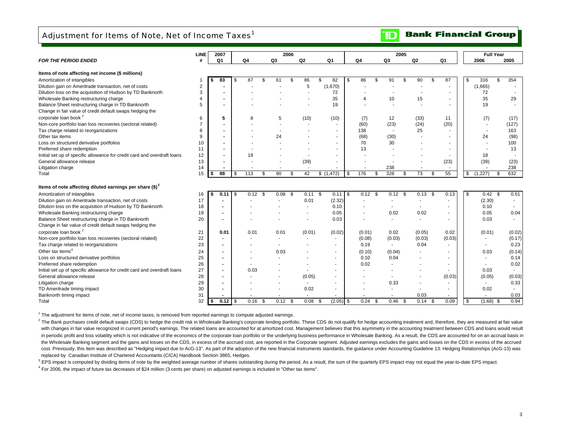# Adjustment for Items of Note, Net of Income Taxes<sup>1</sup>

| <b>FOR THE PERIOD ENDED</b>                                              | #  |                          |            |                | 2006 |        |                          |                |           | 2005                     |                |      |                          |                          | <b>Full Year</b> |        |
|--------------------------------------------------------------------------|----|--------------------------|------------|----------------|------|--------|--------------------------|----------------|-----------|--------------------------|----------------|------|--------------------------|--------------------------|------------------|--------|
|                                                                          |    | Q <sub>1</sub>           | Q4         | Q3             |      | Q2     | Q <sub>1</sub>           | Q <sub>4</sub> | Q3        |                          | Q <sub>2</sub> |      | Q1                       | 2006                     | 2005             |        |
| Items of note affecting net income (\$ millions)                         |    |                          |            |                |      |        |                          |                |           |                          |                |      |                          |                          |                  |        |
| Amortization of intangibles                                              |    | 83                       | \$<br>87   | \$<br>61       | \$   | 86     | \$<br>82                 | \$<br>86       | \$<br>91  | \$                       | 90             | \$   | 87                       | \$<br>316                | \$               | 354    |
| Dilution gain on Ameritrade transaction, net of costs                    | 2  |                          |            |                |      | 5      | (1,670)                  |                |           |                          |                |      |                          | (1,665)                  |                  |        |
| Dilution loss on the acquisition of Hudson by TD Banknorth               | 3  |                          |            |                |      |        | 72                       |                |           |                          |                |      |                          | 72                       |                  |        |
| Wholesale Banking restructuring charge                                   | 4  |                          |            |                |      |        | 35                       | 4              | 10        |                          | 15             |      | ۰.                       | 35                       |                  | 29     |
| Balance Sheet restructuring charge in TD Banknorth                       | 5  |                          |            |                |      |        | 19                       |                |           |                          |                |      |                          | 19                       |                  |        |
| Change in fair value of credit default swaps hedging the                 |    |                          |            |                |      |        |                          |                |           |                          |                |      |                          |                          |                  |        |
| corporate loan book <sup>2</sup>                                         | 6  | 5                        | 8          | 5              |      | (10)   | (10)                     | (7)            | 12        |                          | (33)           |      | 11                       | (7)                      |                  | (17)   |
| Non-core portfolio loan loss recoveries (sectoral related)               |    |                          |            |                |      |        | $\sim$                   | (60)           | (23)      |                          | (24)           |      | (20)                     | $\sim$                   |                  | (127)  |
| Tax charge related to reorganizations                                    | 8  |                          |            |                |      |        | $\sim$                   | 138            |           | $\overline{\phantom{a}}$ | 25             |      |                          | $\sim$                   |                  | 163    |
| Other tax items                                                          | 9  |                          |            | 24             |      |        | $\sim$                   | (68)           | (30)      |                          |                |      | ÷                        | 24                       |                  | (98)   |
| Loss on structured derivative portfolios                                 | 10 |                          |            |                |      |        | $\sim$                   | 70             | 30        |                          |                |      |                          |                          |                  | 100    |
| Preferred share redemption                                               | 11 |                          |            |                |      |        | $\sim$                   | 13             |           |                          |                |      |                          |                          |                  | 13     |
| Initial set up of specific allowance for credit card and overdraft loans | 12 |                          | 18         |                |      |        | $\sim$                   |                |           |                          |                |      |                          | 18                       |                  |        |
| General allowance release                                                | 13 |                          |            |                |      | (39)   | $\sim$                   |                |           |                          |                |      | (23)                     | (39)                     |                  | (23)   |
| Litigation charge                                                        | 14 |                          |            |                |      |        | $\overline{\phantom{a}}$ |                | 238       |                          |                |      |                          |                          |                  | 238    |
| Total                                                                    | 15 | 88<br>\$                 | \$<br>113  | 90<br>\$       | \$   | 42     | \$(1,472)                | \$<br>176      | 328<br>\$ | \$                       | 73             | \$   | 55                       | \$<br>(1, 227)           | \$               | 632    |
|                                                                          |    |                          |            |                |      |        |                          |                |           |                          |                |      |                          |                          |                  |        |
| Items of note affecting diluted earnings per share $(\text{$\$})^3$      |    |                          |            |                |      |        |                          |                |           |                          |                |      |                          |                          |                  |        |
| Amortization of intangibles                                              | 16 | 0.11<br>\$               | \$<br>0.12 | 0.08<br>\$     | \$   | 0.11   | 0.11<br>- \$             | \$<br>0.12     | \$        | $0.12$ \$                | 0.13           | \$   | 0.13                     | \$<br>$0.42 \quad$ \$    |                  | 0.51   |
| Dilution gain on Ameritrade transaction, net of costs                    | 17 |                          |            |                |      | 0.01   | (2.32)                   |                |           |                          | ٠              |      |                          | (2.30)                   |                  | $\sim$ |
| Dilution loss on the acquisition of Hudson by TD Banknorth               | 18 | $\overline{\phantom{0}}$ |            |                |      | ÷.     | 0.10                     |                | $\sim$    |                          | ÷.             |      |                          | 0.10                     |                  |        |
| Wholesale Banking restructuring charge                                   | 19 |                          |            |                |      |        | 0.05                     |                |           | 0.02                     | 0.02           |      |                          | 0.05                     |                  | 0.04   |
| Balance Sheet restructuring charge in TD Banknorth                       | 20 |                          |            |                |      |        | 0.03                     |                |           |                          |                |      |                          | 0.03                     |                  |        |
| Change in fair value of credit default swaps hedging the                 |    |                          |            |                |      |        |                          |                |           |                          |                |      |                          |                          |                  |        |
| corporate loan book <sup>2</sup>                                         | 21 | 0.01                     | 0.01       | 0.01           |      | (0.01) | (0.02)                   | (0.01)         |           | 0.02                     | (0.05)         |      | 0.02                     | (0.01)                   |                  | (0.02) |
| Non-core portfolio loan loss recoveries (sectoral related)               | 22 | $\overline{\phantom{a}}$ |            | $\sim$         |      | ×      | $\sim$                   | (0.08)         |           | (0.03)                   | (0.03)         |      | (0.03)                   | $\sim$                   |                  | (0.17) |
| Tax charge related to reorganizations                                    | 23 |                          |            |                |      |        | $\sim$                   | 0.19           |           | $\sim$                   | 0.04           |      | $\overline{\phantom{a}}$ | $\sim$                   |                  | 0.23   |
| Other tax items <sup>4</sup>                                             | 24 |                          |            | 0.03           |      |        | $\sim$                   | (0.10)         |           | (0.04)                   |                |      |                          | 0.03                     |                  | (0.14) |
| Loss on structured derivative portfolios                                 | 25 | $\overline{\phantom{0}}$ |            |                |      |        | $\sim$                   | 0.10           |           | 0.04                     |                |      |                          |                          |                  | 0.14   |
| Preferred share redemption                                               | 26 | $\overline{\phantom{0}}$ |            |                |      |        | $\sim$                   | 0.02           |           |                          |                |      | $\sim$                   | $\sim$                   |                  | 0.02   |
| Initial set up of specific allowance for credit card and overdraft loans | 27 | $\overline{\phantom{0}}$ | 0.03       |                |      |        | $\sim$                   |                |           |                          |                |      |                          | 0.03                     |                  |        |
| General allowance release                                                | 28 |                          |            |                |      | (0.05) | $\overline{\phantom{a}}$ | ۰              |           |                          |                |      | (0.03)                   | (0.05)                   |                  | (0.03) |
| Litigation charge                                                        | 29 |                          |            |                |      |        |                          |                |           | 0.33                     |                |      |                          | $\sim$                   |                  | 0.33   |
| TD Ameritrade timing impact                                              | 30 |                          |            |                |      | 0.02   | $\sim$                   |                |           |                          |                |      |                          | 0.02                     |                  |        |
| Banknorth timing impact                                                  | 31 |                          |            | $\overline{a}$ |      | ÷.     | $\sim$                   |                |           |                          | 0.03           |      |                          | $\overline{\phantom{a}}$ |                  | 0.03   |
| Total                                                                    | 32 | l \$                     | 0.16       | 0.12<br>-\$    | - \$ | 0.08   | $(2.05)$ \$<br>- \$      | 0.24           | - \$      | 0.46 <sup>5</sup>        | 0.14           | - \$ | 0.09                     | \$<br>$(1.68)$ \$        |                  | 0.94   |

1 The adjustment for items of note, net of income taxes, is removed from reported earnings to compute adjusted earnings.

<sup>2</sup> The Bank purchases credit default swaps (CDS) to hedge the credit risk in Wholesale Banking's corporate lending portfolio. These CDS do not qualify for hedge accounting treatment and, therefore, they are measured at fa with changes in fair value recognized in current period's earnings. The related loans are accounted for at amortized cost. Management believes that this asymmetry in the accounting treatment between CDS and loans would res in periodic profit and loss volatility which is not indicative of the economics of the corporate loan portfolio or the underlying business performance in Wholesale Banking. As a result, the CDS are accounted for on an accr the Wholesale Banking segment and the gains and losses on the CDS, in excess of the accrued cost, are reported in the Corporate segment. Adjusted earnings excludes the gains and losses on the CDS in excess of the accrued cost. Previously, this item was described as "Hedging impact due to AcG-13". As part of the adoption of the new financial instruments standards, the quidance under Accounting Guideline 13: Hedging Relationships (AcG-13) wa replaced by Canadian Institute of Chartered Accountants (CICA) Handbook Section 3865, Hedges.

<sup>3</sup> EPS impact is computed by dividing items of note by the weighted average number of shares outstanding during the period. As a result, the sum of the quarterly EPS impact may not equal the year-to-date EPS impact.

4 For 2006, the impact of future tax decreases of \$24 million (3 cents per share) on adjusted earnings is included in "Other tax items".

#### **Bank Financial Group**  $\mathbf{D}$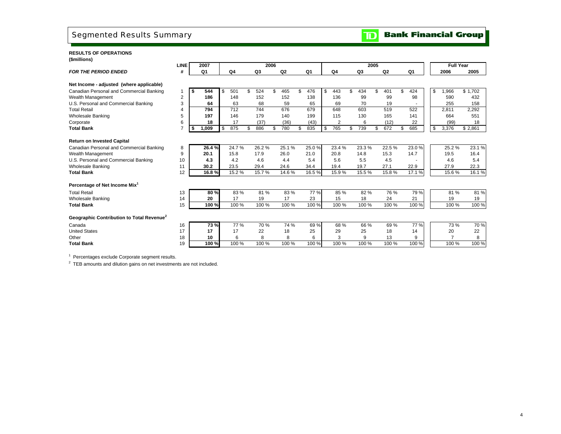# Segmented Results Summary

### **RESULTS OF OPERATIONS(\$millions)**

| Q1<br>Q <sub>4</sub><br>Q2<br>Q1<br>Q <sub>4</sub><br>Q3<br>Q2<br>Q1<br>2005<br><b>FOR THE PERIOD ENDED</b><br>#<br>Q3<br>2006<br>Net Income - adjusted (where applicable)<br>501<br>524<br>465<br>\$<br>476<br>443<br>434<br>\$<br>401<br>424<br>\$<br>966,<br>\$1.702<br>Canadian Personal and Commercial Banking<br>544<br>\$<br>\$<br>\$<br>\$<br>£.<br>- 56<br>S<br>2<br>186<br>152<br>99<br>98<br>Wealth Management<br>148<br>152<br>138<br>136<br>99<br>590<br>432<br>3<br>70<br>U.S. Personal and Commercial Banking<br>63<br>68<br>59<br>65<br>69<br>255<br>64<br>19<br>158<br>712<br>744<br>676<br>679<br>648<br>603<br>522<br><b>Total Retail</b><br>794<br>519<br>2,811<br>2,292<br>4<br><b>Wholesale Banking</b><br>5<br>197<br>146<br>179<br>140<br>199<br>115<br>130<br>141<br>664<br>551<br>165<br>(37)<br>$\overline{2}$<br>6<br>18<br>17<br>(36)<br>(43)<br>(12)<br>22<br>(99)<br>18<br>6<br>Corporate<br>875<br>886<br>780<br>835<br>765<br>739<br>672<br>685<br>\$<br>3,376<br>7<br>1,009<br>\$<br>\$<br>\$<br>\$2,861<br><b>Total Bank</b><br>\$<br>\$<br>\$<br>\$<br>S<br><b>Return on Invested Capital</b><br>24.7%<br>23.0%<br>26.2%<br>25.1%<br>25.0%<br>23.4%<br>23.3%<br>22.5%<br>25.2%<br>Canadian Personal and Commercial Banking<br>26.4%<br>8<br>20.1<br>15.8<br>17.9<br>21.0<br>20.8<br>15.3<br>14.7<br>19.5<br>16.4<br>Wealth Management<br>9<br>26.0<br>14.8<br>U.S. Personal and Commercial Banking<br>4.2<br>10<br>4.3<br>4.6<br>4.4<br>5.4<br>5.6<br>5.5<br>4.5<br>4.6<br>5.4<br><b>Wholesale Banking</b><br>30.2<br>23.5<br>29.4<br>24.6<br>34.4<br>19.4<br>19.7<br>27.1<br>22.9<br>27.9<br>22.3<br>11<br><b>Total Bank</b><br>16.1%<br>12<br>16.8%<br>15.2 %<br>15.7%<br>14.6%<br>16.5%<br>15.9%<br>15.5%<br>15.8%<br>17.1 %<br>15.6%<br>Percentage of Net Income Mix <sup>1</sup><br>81%<br>80%<br>83%<br>81%<br>83%<br>77%<br>76 %<br>79 %<br><b>Total Retail</b><br>85 %<br>82%<br>81 %<br>13<br>17<br>14<br>20<br>17<br>19<br>23<br>15<br>18<br>24<br>21<br>19<br>19<br>Wholesale Banking<br>100 %<br>100 %<br>100 %<br>100 %<br>100 %<br>100 %<br>100 %<br>100 %<br>100 %<br>100 %<br><b>Total Bank</b><br>15<br>100 %<br>Geographic Contribution to Total Revenue <sup>2</sup><br>77 %<br>70 %<br>$74\%$<br>$69\%$<br>69%<br>77%<br>70 %<br>73 %<br>68 %<br>66 %<br>73 %<br>Canada<br>16<br><b>United States</b><br>17<br>17<br>22<br>17<br>22<br>18<br>25<br>29<br>25<br>18<br>14<br>20<br>6<br>8<br>8<br>3<br>13<br>$\overline{7}$<br>8<br>18<br>6<br>9<br>9<br>10<br>Other<br>100 %<br>100 %<br>100 %<br>100 %<br><b>Total Bank</b><br>19<br>100 %<br>100 %<br>100 %<br>100 %<br>100 %<br>100 %<br>100 % | <b>LINE</b> | 2007 |  | 2006 |  |  |  |  | 2005 |  |  | <b>Full Year</b> |  |
|----------------------------------------------------------------------------------------------------------------------------------------------------------------------------------------------------------------------------------------------------------------------------------------------------------------------------------------------------------------------------------------------------------------------------------------------------------------------------------------------------------------------------------------------------------------------------------------------------------------------------------------------------------------------------------------------------------------------------------------------------------------------------------------------------------------------------------------------------------------------------------------------------------------------------------------------------------------------------------------------------------------------------------------------------------------------------------------------------------------------------------------------------------------------------------------------------------------------------------------------------------------------------------------------------------------------------------------------------------------------------------------------------------------------------------------------------------------------------------------------------------------------------------------------------------------------------------------------------------------------------------------------------------------------------------------------------------------------------------------------------------------------------------------------------------------------------------------------------------------------------------------------------------------------------------------------------------------------------------------------------------------------------------------------------------------------------------------------------------------------------------------------------------------------------------------------------------------------------------------------------------------------------------------------------------------------------------------------------------------------------------------------------------------------------------------------------------------------------------------------------------------------------------------------------------------------------------------------------------------------------------------------------------|-------------|------|--|------|--|--|--|--|------|--|--|------------------|--|
| 23.1%                                                                                                                                                                                                                                                                                                                                                                                                                                                                                                                                                                                                                                                                                                                                                                                                                                                                                                                                                                                                                                                                                                                                                                                                                                                                                                                                                                                                                                                                                                                                                                                                                                                                                                                                                                                                                                                                                                                                                                                                                                                                                                                                                                                                                                                                                                                                                                                                                                                                                                                                                                                                                                                    |             |      |  |      |  |  |  |  |      |  |  |                  |  |
|                                                                                                                                                                                                                                                                                                                                                                                                                                                                                                                                                                                                                                                                                                                                                                                                                                                                                                                                                                                                                                                                                                                                                                                                                                                                                                                                                                                                                                                                                                                                                                                                                                                                                                                                                                                                                                                                                                                                                                                                                                                                                                                                                                                                                                                                                                                                                                                                                                                                                                                                                                                                                                                          |             |      |  |      |  |  |  |  |      |  |  |                  |  |
|                                                                                                                                                                                                                                                                                                                                                                                                                                                                                                                                                                                                                                                                                                                                                                                                                                                                                                                                                                                                                                                                                                                                                                                                                                                                                                                                                                                                                                                                                                                                                                                                                                                                                                                                                                                                                                                                                                                                                                                                                                                                                                                                                                                                                                                                                                                                                                                                                                                                                                                                                                                                                                                          |             |      |  |      |  |  |  |  |      |  |  |                  |  |
|                                                                                                                                                                                                                                                                                                                                                                                                                                                                                                                                                                                                                                                                                                                                                                                                                                                                                                                                                                                                                                                                                                                                                                                                                                                                                                                                                                                                                                                                                                                                                                                                                                                                                                                                                                                                                                                                                                                                                                                                                                                                                                                                                                                                                                                                                                                                                                                                                                                                                                                                                                                                                                                          |             |      |  |      |  |  |  |  |      |  |  |                  |  |
|                                                                                                                                                                                                                                                                                                                                                                                                                                                                                                                                                                                                                                                                                                                                                                                                                                                                                                                                                                                                                                                                                                                                                                                                                                                                                                                                                                                                                                                                                                                                                                                                                                                                                                                                                                                                                                                                                                                                                                                                                                                                                                                                                                                                                                                                                                                                                                                                                                                                                                                                                                                                                                                          |             |      |  |      |  |  |  |  |      |  |  |                  |  |
|                                                                                                                                                                                                                                                                                                                                                                                                                                                                                                                                                                                                                                                                                                                                                                                                                                                                                                                                                                                                                                                                                                                                                                                                                                                                                                                                                                                                                                                                                                                                                                                                                                                                                                                                                                                                                                                                                                                                                                                                                                                                                                                                                                                                                                                                                                                                                                                                                                                                                                                                                                                                                                                          |             |      |  |      |  |  |  |  |      |  |  |                  |  |
|                                                                                                                                                                                                                                                                                                                                                                                                                                                                                                                                                                                                                                                                                                                                                                                                                                                                                                                                                                                                                                                                                                                                                                                                                                                                                                                                                                                                                                                                                                                                                                                                                                                                                                                                                                                                                                                                                                                                                                                                                                                                                                                                                                                                                                                                                                                                                                                                                                                                                                                                                                                                                                                          |             |      |  |      |  |  |  |  |      |  |  |                  |  |
|                                                                                                                                                                                                                                                                                                                                                                                                                                                                                                                                                                                                                                                                                                                                                                                                                                                                                                                                                                                                                                                                                                                                                                                                                                                                                                                                                                                                                                                                                                                                                                                                                                                                                                                                                                                                                                                                                                                                                                                                                                                                                                                                                                                                                                                                                                                                                                                                                                                                                                                                                                                                                                                          |             |      |  |      |  |  |  |  |      |  |  |                  |  |
|                                                                                                                                                                                                                                                                                                                                                                                                                                                                                                                                                                                                                                                                                                                                                                                                                                                                                                                                                                                                                                                                                                                                                                                                                                                                                                                                                                                                                                                                                                                                                                                                                                                                                                                                                                                                                                                                                                                                                                                                                                                                                                                                                                                                                                                                                                                                                                                                                                                                                                                                                                                                                                                          |             |      |  |      |  |  |  |  |      |  |  |                  |  |
|                                                                                                                                                                                                                                                                                                                                                                                                                                                                                                                                                                                                                                                                                                                                                                                                                                                                                                                                                                                                                                                                                                                                                                                                                                                                                                                                                                                                                                                                                                                                                                                                                                                                                                                                                                                                                                                                                                                                                                                                                                                                                                                                                                                                                                                                                                                                                                                                                                                                                                                                                                                                                                                          |             |      |  |      |  |  |  |  |      |  |  |                  |  |
|                                                                                                                                                                                                                                                                                                                                                                                                                                                                                                                                                                                                                                                                                                                                                                                                                                                                                                                                                                                                                                                                                                                                                                                                                                                                                                                                                                                                                                                                                                                                                                                                                                                                                                                                                                                                                                                                                                                                                                                                                                                                                                                                                                                                                                                                                                                                                                                                                                                                                                                                                                                                                                                          |             |      |  |      |  |  |  |  |      |  |  |                  |  |
|                                                                                                                                                                                                                                                                                                                                                                                                                                                                                                                                                                                                                                                                                                                                                                                                                                                                                                                                                                                                                                                                                                                                                                                                                                                                                                                                                                                                                                                                                                                                                                                                                                                                                                                                                                                                                                                                                                                                                                                                                                                                                                                                                                                                                                                                                                                                                                                                                                                                                                                                                                                                                                                          |             |      |  |      |  |  |  |  |      |  |  |                  |  |
|                                                                                                                                                                                                                                                                                                                                                                                                                                                                                                                                                                                                                                                                                                                                                                                                                                                                                                                                                                                                                                                                                                                                                                                                                                                                                                                                                                                                                                                                                                                                                                                                                                                                                                                                                                                                                                                                                                                                                                                                                                                                                                                                                                                                                                                                                                                                                                                                                                                                                                                                                                                                                                                          |             |      |  |      |  |  |  |  |      |  |  |                  |  |
|                                                                                                                                                                                                                                                                                                                                                                                                                                                                                                                                                                                                                                                                                                                                                                                                                                                                                                                                                                                                                                                                                                                                                                                                                                                                                                                                                                                                                                                                                                                                                                                                                                                                                                                                                                                                                                                                                                                                                                                                                                                                                                                                                                                                                                                                                                                                                                                                                                                                                                                                                                                                                                                          |             |      |  |      |  |  |  |  |      |  |  |                  |  |
|                                                                                                                                                                                                                                                                                                                                                                                                                                                                                                                                                                                                                                                                                                                                                                                                                                                                                                                                                                                                                                                                                                                                                                                                                                                                                                                                                                                                                                                                                                                                                                                                                                                                                                                                                                                                                                                                                                                                                                                                                                                                                                                                                                                                                                                                                                                                                                                                                                                                                                                                                                                                                                                          |             |      |  |      |  |  |  |  |      |  |  |                  |  |
|                                                                                                                                                                                                                                                                                                                                                                                                                                                                                                                                                                                                                                                                                                                                                                                                                                                                                                                                                                                                                                                                                                                                                                                                                                                                                                                                                                                                                                                                                                                                                                                                                                                                                                                                                                                                                                                                                                                                                                                                                                                                                                                                                                                                                                                                                                                                                                                                                                                                                                                                                                                                                                                          |             |      |  |      |  |  |  |  |      |  |  |                  |  |
|                                                                                                                                                                                                                                                                                                                                                                                                                                                                                                                                                                                                                                                                                                                                                                                                                                                                                                                                                                                                                                                                                                                                                                                                                                                                                                                                                                                                                                                                                                                                                                                                                                                                                                                                                                                                                                                                                                                                                                                                                                                                                                                                                                                                                                                                                                                                                                                                                                                                                                                                                                                                                                                          |             |      |  |      |  |  |  |  |      |  |  |                  |  |
|                                                                                                                                                                                                                                                                                                                                                                                                                                                                                                                                                                                                                                                                                                                                                                                                                                                                                                                                                                                                                                                                                                                                                                                                                                                                                                                                                                                                                                                                                                                                                                                                                                                                                                                                                                                                                                                                                                                                                                                                                                                                                                                                                                                                                                                                                                                                                                                                                                                                                                                                                                                                                                                          |             |      |  |      |  |  |  |  |      |  |  |                  |  |
|                                                                                                                                                                                                                                                                                                                                                                                                                                                                                                                                                                                                                                                                                                                                                                                                                                                                                                                                                                                                                                                                                                                                                                                                                                                                                                                                                                                                                                                                                                                                                                                                                                                                                                                                                                                                                                                                                                                                                                                                                                                                                                                                                                                                                                                                                                                                                                                                                                                                                                                                                                                                                                                          |             |      |  |      |  |  |  |  |      |  |  |                  |  |
|                                                                                                                                                                                                                                                                                                                                                                                                                                                                                                                                                                                                                                                                                                                                                                                                                                                                                                                                                                                                                                                                                                                                                                                                                                                                                                                                                                                                                                                                                                                                                                                                                                                                                                                                                                                                                                                                                                                                                                                                                                                                                                                                                                                                                                                                                                                                                                                                                                                                                                                                                                                                                                                          |             |      |  |      |  |  |  |  |      |  |  |                  |  |
|                                                                                                                                                                                                                                                                                                                                                                                                                                                                                                                                                                                                                                                                                                                                                                                                                                                                                                                                                                                                                                                                                                                                                                                                                                                                                                                                                                                                                                                                                                                                                                                                                                                                                                                                                                                                                                                                                                                                                                                                                                                                                                                                                                                                                                                                                                                                                                                                                                                                                                                                                                                                                                                          |             |      |  |      |  |  |  |  |      |  |  |                  |  |
|                                                                                                                                                                                                                                                                                                                                                                                                                                                                                                                                                                                                                                                                                                                                                                                                                                                                                                                                                                                                                                                                                                                                                                                                                                                                                                                                                                                                                                                                                                                                                                                                                                                                                                                                                                                                                                                                                                                                                                                                                                                                                                                                                                                                                                                                                                                                                                                                                                                                                                                                                                                                                                                          |             |      |  |      |  |  |  |  |      |  |  |                  |  |
|                                                                                                                                                                                                                                                                                                                                                                                                                                                                                                                                                                                                                                                                                                                                                                                                                                                                                                                                                                                                                                                                                                                                                                                                                                                                                                                                                                                                                                                                                                                                                                                                                                                                                                                                                                                                                                                                                                                                                                                                                                                                                                                                                                                                                                                                                                                                                                                                                                                                                                                                                                                                                                                          |             |      |  |      |  |  |  |  |      |  |  |                  |  |
|                                                                                                                                                                                                                                                                                                                                                                                                                                                                                                                                                                                                                                                                                                                                                                                                                                                                                                                                                                                                                                                                                                                                                                                                                                                                                                                                                                                                                                                                                                                                                                                                                                                                                                                                                                                                                                                                                                                                                                                                                                                                                                                                                                                                                                                                                                                                                                                                                                                                                                                                                                                                                                                          |             |      |  |      |  |  |  |  |      |  |  |                  |  |
|                                                                                                                                                                                                                                                                                                                                                                                                                                                                                                                                                                                                                                                                                                                                                                                                                                                                                                                                                                                                                                                                                                                                                                                                                                                                                                                                                                                                                                                                                                                                                                                                                                                                                                                                                                                                                                                                                                                                                                                                                                                                                                                                                                                                                                                                                                                                                                                                                                                                                                                                                                                                                                                          |             |      |  |      |  |  |  |  |      |  |  |                  |  |
|                                                                                                                                                                                                                                                                                                                                                                                                                                                                                                                                                                                                                                                                                                                                                                                                                                                                                                                                                                                                                                                                                                                                                                                                                                                                                                                                                                                                                                                                                                                                                                                                                                                                                                                                                                                                                                                                                                                                                                                                                                                                                                                                                                                                                                                                                                                                                                                                                                                                                                                                                                                                                                                          |             |      |  |      |  |  |  |  |      |  |  |                  |  |

<sup>1</sup> Percentages exclude Corporate segment results.

 $2$  TEB amounts and dilution gains on net investments are not included.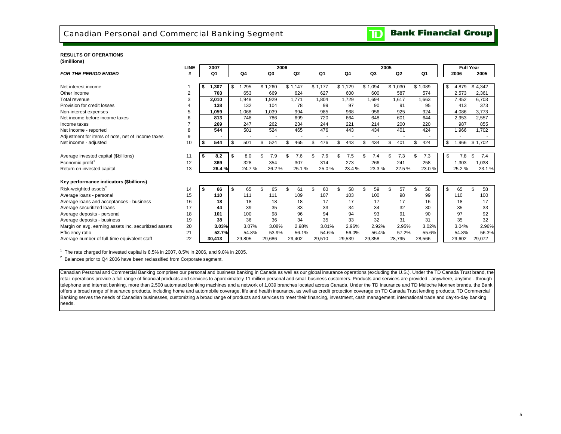

### **RESULTS OF OPERATIONS(\$millions)**

|                                                       | <b>LINE</b>    |    | 2007   |            | 2006      |         |                |         |        |     |         | 2005      |           |           | <b>Full Year</b> |           |       |
|-------------------------------------------------------|----------------|----|--------|------------|-----------|---------|----------------|---------|--------|-----|---------|-----------|-----------|-----------|------------------|-----------|-------|
| <b>FOR THE PERIOD ENDED</b>                           | #              |    | Q1     | Q4         | Q3        |         | Q <sub>2</sub> |         | Q1     |     | Q4      | Q3        | Q2        | Q1        | 2006             | 2005      |       |
|                                                       |                |    |        |            |           |         |                |         |        |     |         |           |           |           |                  |           |       |
| Net interest income                                   |                | \$ | 1,307  | \$<br>,295 | \$1,260   | \$1,147 |                | \$1,177 |        |     | \$1,129 | \$1,094   | \$1,030   | \$1,089   | \$<br>4,879      | \$4,342   |       |
| Other income                                          | $\overline{2}$ |    | 703    | 653        | 669       |         | 624            |         | 627    |     | 600     | 600       | 587       | 574       | 2,573            | 2,361     |       |
| Total revenue                                         | 3              |    | 2,010  | 1,948      | 1,929     |         | 1,771          |         | 1.804  |     | 1,729   | 1,694     | 1,617     | 1.663     | 7,452            | 6,703     |       |
| Provision for credit losses                           | 4              |    | 138    | 132        | 104       |         | 78             |         | 99     |     | 97      | 90        | 91        | 95        | 413              | 373       |       |
| Non-interest expenses                                 | 5              |    | 1,059  | 1,068      | 1,039     |         | 994            |         | 985    |     | 968     | 956       | 925       | 924       | 4,086            | 3,773     |       |
| Net income before income taxes                        | 6              |    | 813    | 748        | 786       |         | 699            |         | 720    |     | 664     | 648       | 601       | 644       | 2,953            | 2,557     |       |
| Income taxes                                          |                |    | 269    | 247        | 262       |         | 234            |         | 244    |     | 221     | 214       | 200       | 220       | 987              | 855       |       |
| Net Income - reported                                 | 8              |    | 544    | 501        | 524       |         | 465            |         | 476    |     | 443     | 434       | 401       | 424       | 1,966            | 1,702     |       |
| Adjustment for items of note, net of income taxes     | 9              |    |        |            |           |         |                |         |        |     |         |           |           |           |                  |           |       |
| Net income - adjusted                                 | 10             |    | 544    | \$<br>501  | 524       | \$      | 465            | \$      | 476    | \$  | 443     | \$<br>434 | \$<br>401 | \$<br>424 | \$<br>1,966      | \$1,702   |       |
|                                                       |                |    |        |            |           |         |                |         |        |     |         |           |           |           |                  |           |       |
| Average invested capital (\$billions)                 | 11             | Ŝ. | 8.2    | \$<br>8.0  | \$<br>7.9 | \$      | 7.6            | \$      | 7.6    | \$. | 7.5     | \$<br>7.4 | \$<br>7.3 | \$<br>7.3 | \$<br>7.8        | \$<br>7.4 |       |
| Economic profit <sup>1</sup>                          | 12             |    | 369    | 328        | 354       |         | 307            |         | 314    |     | 273     | 266       | 241       | 258       | 1,303            | 1,038     |       |
| Return on invested capital                            | 13             |    | 26.4%  | 24.7%      | 26.2%     |         | 25.1%          |         | 25.0%  |     | 23.4%   | 23.3%     | 22.5 %    | 23.0%     | 25.2%            |           | 23.1% |
|                                                       |                |    |        |            |           |         |                |         |        |     |         |           |           |           |                  |           |       |
| Key performance indicators (\$billions)               |                |    |        |            |           |         |                |         |        |     |         |           |           |           |                  |           |       |
| Risk-weighted assets <sup>2</sup>                     | 14             | \$ | 66     | \$<br>65   | \$<br>65  | \$      | 61             | \$      | 60     | \$  | 58      | \$<br>59  | \$<br>57  | \$<br>58  | \$<br>65         | 58<br>ደ   |       |
| Average loans - personal                              | 15             |    | 110    | 111        | 111       |         | 109            |         | 107    |     | 103     | 100       | 98        | 99        | 110              | 100       |       |
| Average loans and acceptances - business              | 16             |    | 18     | 18         | 18        |         | 18             |         | 17     |     | 17      | 17        | 17        | 16        | 18               | 17        |       |
| Average securitized loans                             | 17             |    | 44     | 39         | 35        |         | 33             |         | 33     |     | 34      | 34        | 32        | 30        | 35               | 33        |       |
| Average deposits - personal                           | 18             |    | 101    | 100        | 98        |         | 96             |         | 94     |     | 94      | 93        | 91        | 90        | 97               | 92        |       |
| Average deposits - business                           | 19             |    | 38     | 36         | 36        |         | 34             |         | 35     |     | 33      | 32        | 31        | 31        | 35               | 32        |       |
| Margin on avg. earning assets inc. securitized assets | 20             |    | 3.03%  | 3.07%      | 3.08%     |         | 2.98%          |         | 3.01%  |     | 2.96%   | 2.92%     | 2.95%     | 3.02%     | 3.04%            |           | 2.96% |
| Efficiency ratio                                      | 21             |    | 52.7%  | 54.8%      | 53.9%     |         | 56.1%          |         | 54.6%  |     | 56.0%   | 56.4%     | 57.2%     | 55.6%     | 54.8%            |           | 56.3% |
| Average number of full-time equivalent staff          | 22             |    | 30,413 | 29,805     | 29.686    |         | 29,402         |         | 29.510 |     | 29,539  | 29,358    | 28,795    | 28,566    | 29,602           | 29,072    |       |

 $1$  The rate charged for invested capital is 8.5% in 2007, 8.5% in 2006, and 9.0% in 2005.

<sup>2</sup> Balances prior to Q4 2006 have been reclassified from Corporate segment.

Canadian Personal and Commercial Banking comprises our personal and business banking in Canada as well as our global insurance operations (excluding the U.S.). Under the TD Canada Trust brand, the retail operations provide a full range of financial products and services to approximately 11 million personal and small business customers. Products and services are provided - anywhere, anytime - through telephone and internet banking, more than 2,500 automated banking machines and a network of 1,039 branches located across Canada. Under the TD Insurance and TD Meloche Monnex brands, the Bank offers a broad range of insurance products, including home and automobile coverage, life and health insurance, as well as credit protection coverage on TD Canada Trust lending products. TD Commercial Banking serves the needs of Canadian businesses, customizing a broad range of products and services to meet their financing, investment, cash management, international trade and day-to-day banking needs.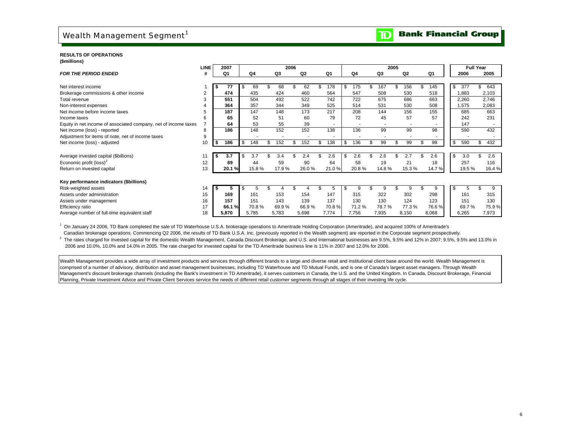# Wealth Management Segment<sup>1</sup>

**Bank Financial Group**  $\overline{\mathbf{D}}$ 

### **RESULTS OF OPERATIONS(\$millions)**

|                                                                 | LINE           | 2007      |     |       |           | 2006 |                |       |     |       |       | 2005 |                |          | <b>Full Year</b> |           |
|-----------------------------------------------------------------|----------------|-----------|-----|-------|-----------|------|----------------|-------|-----|-------|-------|------|----------------|----------|------------------|-----------|
| <b>FOR THE PERIOD ENDED</b>                                     |                | Q1        |     | Q4    | Q3        |      | Q <sub>2</sub> | Q1    |     | Q4    | Q3    |      | Q <sub>2</sub> | Q1       | 2006             | 2005      |
|                                                                 |                |           |     |       |           |      |                |       |     |       |       |      |                |          |                  |           |
| Net interest income                                             |                | 77        | S.  | 69    | 68        |      | 62             | 178   | \$. | 175   | 167   |      | 156            | 145      | 377<br>\$        | \$<br>643 |
| Brokerage commissions & other income                            | $\overline{2}$ | 474       |     | 435   | 424       |      | 460            | 564   |     | 547   | 508   |      | 530            | 518      | 1,883            | 2,103     |
| Total revenue                                                   |                | 551       |     | 504   | 492       |      | 522            | 742   |     | 722   | 675   |      | 686            | 663      | 2,260            | 2,746     |
| Non-interest expenses                                           |                | 364       |     | 357   | 344       |      | 349            | 525   |     | 514   | 531   |      | 530            | 508      | .575             | 2,083     |
| Net income before income taxes                                  | 5              | 187       |     | 147   | 148       |      | 173            | 217   |     | 208   | 144   |      | 156            | 155      | 685              | 663       |
| Income taxes                                                    | 6              | 65        |     | 52    | 51        |      | 60             | 79    |     | 72    | 45    |      | 57             | 57       | 242              | 231       |
| Equity in net income of associated company, net of income taxes |                | 64        |     | 53    | 55        |      | 39             |       |     |       |       |      |                |          | 147              |           |
| Net income (loss) - reported                                    | 8              | 186       |     | 148   | 152       |      | 152            | 138   |     | 136   | 99    |      | 99             | 98       | 590              | 432       |
| Adjustment for items of note, net of income taxes               | 9              |           |     |       |           |      |                | ٠     |     |       |       |      |                |          |                  |           |
| Net income (loss) - adjusted                                    | 10             | 186<br>\$ | \$  | 148   | \$<br>152 |      | 152            | 138   |     | 136   | 99    |      | 99             | \$<br>98 | 590<br>\$        | \$<br>432 |
|                                                                 |                |           |     |       |           |      |                |       |     |       |       |      |                |          |                  |           |
| Average invested capital (\$billions)                           | 11             | 3.7       | \$. | 3.7   | 3.4       |      | 2.4            | 2.6   | \$  | 2.6   | 2.6   |      | 2.7            | 2.6      | \$<br>3.0        | \$<br>2.6 |
| Economic profit (loss) <sup>2</sup>                             | 12             | 89        |     | 44    | 59        |      | 90             | 64    |     | 58    | 19    |      | 21             | 18       | 257              | 116       |
| Return on invested capital                                      | 13             | 20.1%     |     | 15.8% | 17.9%     |      | 26.0%          | 21.0% |     | 20.8% | 14.8% |      | 15.3%          | 14.7%    | 19.5 %           | 16.4%     |
|                                                                 |                |           |     |       |           |      |                |       |     |       |       |      |                |          |                  |           |
| Key performance indicators (\$billions)                         |                |           |     |       |           |      |                |       |     |       |       |      |                |          |                  |           |
| Risk-weighted assets                                            | 14             | -5        |     | 5     |           |      |                | 5     |     | 9     | 9     |      | 9              | 9        | \$<br>5          | 9         |
| Assets under administration                                     | 15             | 169       |     | 161   | 153       |      | 154            | 147   |     | 315   | 322   |      | 302            | 298      | 161              | 315       |
| Assets under management                                         | 16             | 157       |     | 151   | 143       |      | 139            | 137   |     | 130   | 130   |      | 124            | 123      | 151              | 130       |
| Efficiency ratio                                                | 17             | 66.1 %    |     | 70.8% | 69.9%     |      | 66.9%          | 70.8% |     | 71.2% | 78.7% |      | 77.3%          | 76.6%    | 69.7%            | 75.9%     |
| Average number of full-time equivalent staff                    | 18             | 5,870     |     | 5,785 | 5,783     |      | 5,698          | 7,774 |     | 7,756 | 7,935 |      | 8,150          | 8,068    | 6,265            | 7,973     |

1 On January 24 2006, TD Bank completed the sale of TD Waterhouse U.S.A. brokerage operations to Ameritrade Holding Corporation (Ameritrade), and acquired 100% of Ameritrade's Canadian brokerage operations. Commencing Q2 2006, the results of TD Bank U.S.A. Inc. (previously reported in the Wealth segment) are reported in the Corporate segment prospectively.

<sup>2</sup> The rates charged for invested capital for the domestic Wealth Management, Canada Discount Brokerage, and U.S. and International businesses are 9.5%, 9.5% and 12% in 2007; 9.5%, 9.5% and 13.0% in 2006 and 10.0%, 10.0% and 14.0% in 2005. The rate charged for invested capital for the TD Ameritrade business line is 11% in 2007 and 12.0% for 2006.

Wealth Management provides a wide array of investment products and services through different brands to a large and diverse retail and institutional client base around the world. Wealth Management is comprised of a number of advisory, distribution and asset management businesses, including TD Waterhouse and TD Mutual Funds, and is one of Canada's largest asset managers. Through Wealth Management's discount brokerage channels (including the Bank's investment in TD Ameritrade), it serves customers in Canada, the U.S. and the United Kingdom. In Canada, Discount Brokerage, Financial Planning, Private Investment Advice and Private Client Services service the needs of different retail customer segments through all stages of their investing life cycle.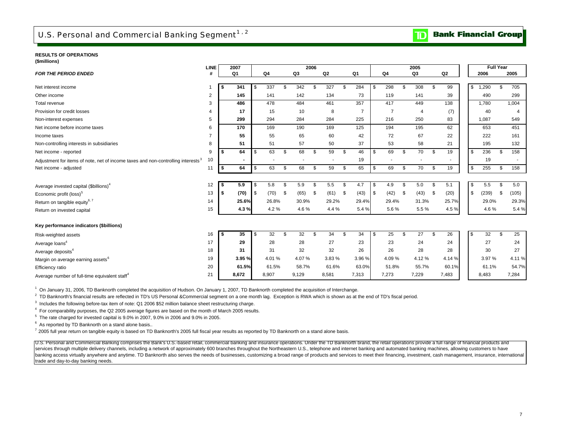### **RESULTS OF OPERATIONS**

| RESULIS UF UPERATIUNS |  |  |
|-----------------------|--|--|
| (\$millions)          |  |  |

|                                                                                              | <b>LINE</b>    |          | 2007           |      |       |                |       | 2006         |                |      |                |      |                |                | 2005  |                |                |     |             | <b>Full Year</b> |                |
|----------------------------------------------------------------------------------------------|----------------|----------|----------------|------|-------|----------------|-------|--------------|----------------|------|----------------|------|----------------|----------------|-------|----------------|----------------|-----|-------------|------------------|----------------|
| <b>FOR THE PERIOD ENDED</b>                                                                  | #              |          | Q <sub>1</sub> |      | Q4    |                | Q3    |              | Q <sub>2</sub> |      | Q1             |      | Q4             |                | Q3    |                | Q <sub>2</sub> |     | 2006        |                  | 2005           |
| Net interest income                                                                          |                |          | 341            | -\$  | 337   | £.             | 342   | .\$          | 327            | \$.  | 284            | \$   | 298            | \$             | 308   | \$             | 99             |     | ,290<br>\$  | \$.              | 705            |
| Other income                                                                                 | 2              |          | 145            |      | 141   |                | 142   |              | 134            |      | 73             |      | 119            |                | 141   |                | 39             |     | 490         |                  | 299            |
| Total revenue                                                                                | 3              |          | 486            |      | 478   |                | 484   |              | 461            |      | 357            |      | 417            |                | 449   |                | 138            |     | 1,780       |                  | 1,004          |
| Provision for credit losses                                                                  | 4              |          | 17             |      | 15    |                | 10    |              | 8              |      | $\overline{7}$ |      | $\overline{7}$ |                | 4     |                | (7)            |     | 40          |                  | $\overline{4}$ |
| Non-interest expenses                                                                        | 5              |          | 299            |      | 294   |                | 284   |              | 284            |      | 225            |      | 216            |                | 250   |                | 83             |     | 1,087       |                  | 549            |
| Net income before income taxes                                                               | 6              |          | 170            |      | 169   |                | 190   |              | 169            |      | 125            |      | 194            |                | 195   |                | 62             |     | 653         |                  | 451            |
| Income taxes                                                                                 | $\overline{7}$ |          | 55             |      | 55    |                | 65    |              | 60             |      | 42             |      | 72             |                | 67    |                | 22             |     | 222         |                  | 161            |
| Non-controlling interests in subsidiaries                                                    | 8              |          | 51             |      | 51    |                | 57    |              | 50             |      | 37             |      | 53             |                | 58    |                | 21             |     | 195         |                  | 132            |
| Net income - reported                                                                        | 9              |          | 64             | \$   | 63    | \$             | 68    | \$           | 59             | \$   | 46             | \$   | 69             | \$             | 70    | \$             | 19             |     | 236<br>\$   | \$               | 158            |
| Adjustment for items of note, net of income taxes and non-controlling interests <sup>3</sup> | 10             |          |                |      |       |                |       |              |                |      | 19             |      |                |                |       |                |                |     | 19          |                  |                |
| Net income - adjusted                                                                        | 11             | l \$     | 64             | l \$ | 63    | \$             | 68    | \$           | 59             | \$   | 65             | \$   | 69             | \$             | 70    | \$             | 19             |     | 255<br>\$   | \$               | 158            |
|                                                                                              |                |          |                |      |       |                |       |              |                |      |                |      |                |                |       |                |                |     |             |                  |                |
| Average invested capital (\$billions) <sup>4</sup>                                           | 12             | l \$     | 5.9            | \$   | 5.8   | \$             | 5.9   | \$           | 5.5            | \$   | 4.7            | \$   | 4.9            | \$             | 5.0   | \$             | 5.1            |     | 5.5<br>\$   | \$               | 5.0            |
| Economic profit (loss) <sup>5</sup>                                                          | 13             | <b>S</b> | (70)           | l \$ | (70)  | - \$           | (65)  | -\$          | (61)           | - \$ | (43)           | l \$ | (42)           | - \$           | (43)  | \$             | (20)           |     | \$<br>(239) | -\$              | (105)          |
| Return on tangible equity <sup>6, 7</sup>                                                    | 14             |          | 25.6%          |      | 26.8% |                | 30.9% |              | 29.2%          |      | 29.4%          |      | 29.4%          |                | 31.3% |                | 25.7%          |     | 29.0%       |                  | 29.3%          |
| Return on invested capital                                                                   | 15             |          | 4.3%           |      | 4.2%  |                | 4.6%  |              | 4.4 %          |      | 5.4%           |      | 5.6%           |                | 5.5%  |                | 4.5%           |     | 4.6%        |                  | 5.4%           |
|                                                                                              |                |          |                |      |       |                |       |              |                |      |                |      |                |                |       |                |                |     |             |                  |                |
| Key performance indicators (\$billions)                                                      |                |          |                |      |       |                |       |              |                |      |                |      |                |                |       |                |                |     |             |                  |                |
| Risk-weighted assets                                                                         | 16             | l \$     | 35             | \$   | 32    | $\mathfrak{s}$ | 32    | $\mathbf{s}$ | 34             | \$   | 34             | \$   | 25             | $\mathfrak{s}$ | 27    | $\mathfrak{s}$ | 26             | -\$ | 32          | \$               | 25             |
| Average loans <sup>4</sup>                                                                   | 17             |          | 29             |      | 28    |                | 28    |              | 27             |      | 23             |      | 23             |                | 24    |                | 24             |     | 27          |                  | 24             |
| Average deposits <sup>4</sup>                                                                | 18             |          | 31             |      | 31    |                | 32    |              | 32             |      | 26             |      | 26             |                | 28    |                | 28             |     | 30          |                  | 27             |
| Margin on average earning assets <sup>6</sup>                                                | 19             |          | 3.95%          |      | 4.01% |                | 4.07% |              | 3.83%          |      | 3.96 %         |      | 4.09%          |                | 4.12% |                | 4.14 %         |     | 3.97%       |                  | 4.11%          |
| Efficiency ratio                                                                             | 20             |          | 61.5%          |      | 61.5% |                | 58.7% |              | 61.6%          |      | 63.0%          |      | 51.8%          |                | 55.7% |                | 60.1%          |     | 61.1%       |                  | 54.7%          |
| Average number of full-time equivalent staff <sup>4</sup>                                    | 21             |          | 8.672          |      | 8,907 |                | 9,129 |              | 8,581          |      | 7,313          |      | 7,273          |                | 7,229 |                | 7,483          |     | 8,483       |                  | 7,284          |

1 On January 31, 2006, TD Banknorth completed the acquisition of Hudson. On January 1, 2007, TD Banknorth completed the acquisition of Interchange.

<sup>2</sup> TD Banknorth's financial results are reflected in TD's US Personal &Commercial segment on a one month lag. Exception is RWA which is shown as at the end of TD's fiscal period.

<sup>3</sup> Includes the following before-tax item of note: Q1 2006 \$52 million balance sheet restructuring charge.

4 For comparability purposes, the Q2 2005 average figures are based on the month of March 2005 results.

 $5$  The rate charged for invested capital is  $9.0\%$  in 2007,  $9.0\%$  in 2006 and  $9.0\%$  in 2005.

<sup>6</sup> As reported by TD Banknorth on a stand alone basis..

 $7$  2005 full year return on tangible equity is based on TD Banknorth's 2005 full fiscal year results as reported by TD Banknorth on a stand alone basis.

U.S. Personal and Commercial Banking comprises the Bank's U.S.-based retail, commercial banking and insurance operations. Under the TD Banknorth brand, the retail operations provide a full range of financial products and services through multiple delivery channels, including a network of approximately 600 branches throughout the Northeastern U.S., telephone and internet banking and automated banking machines, allowing customers to have banking access virtually anywhere and anytime. TD Banknorth also serves the needs of businesses, customizing a broad range of products and services to meet their financing, investment, cash management, insurance, internati trade and day-to-day banking needs.

### **Bank Financial Group**  $\mathbf{D}$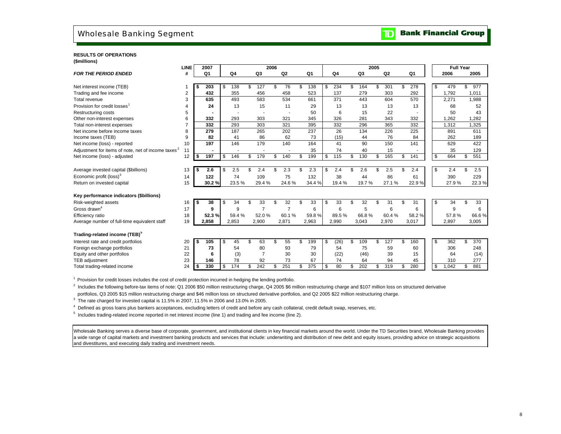## Wholesale Banking Segment

**TD** Bank Financial Group

### **RESULTS OF OPERATIONS (\$millions)**

|                                                                | <b>LINE</b> |      | 2007           |           | 2006           |                |           |            | 2005           |                |           |    | <b>Full Year</b> |     |       |
|----------------------------------------------------------------|-------------|------|----------------|-----------|----------------|----------------|-----------|------------|----------------|----------------|-----------|----|------------------|-----|-------|
| <b>FOR THE PERIOD ENDED</b>                                    | #           |      | Q <sub>1</sub> | Q4        | Q3             | Q <sub>2</sub> | Q1        | Q4         | Q <sub>3</sub> | Q <sub>2</sub> | Q1        |    | 2006             |     | 2005  |
|                                                                |             |      |                |           |                |                |           |            |                |                |           |    |                  |     |       |
| Net interest income (TEB)                                      |             |      | 203            | \$<br>138 | \$<br>127      | \$<br>76       | \$<br>138 | \$<br>234  | \$<br>164      | 301            | \$<br>278 | \$ | 479              | \$  | 977   |
| Trading and fee income                                         | 2           |      | 432            | 355       | 456            | 458            | 523       | 137        | 279            | 303            | 292       |    | 1,792            |     | 1,011 |
| Total revenue                                                  | 3           |      | 635            | 493       | 583            | 534            | 661       | 371        | 443            | 604            | 570       |    | 2,271            |     | 1,988 |
| Provision for credit losses <sup>1</sup>                       |             |      | 24             | 13        | 15             | 11             | 29        | 13         | 13             | 13             | 13        |    | 68               |     | 52    |
| Restructuring costs                                            | 5           |      |                |           |                |                | 50        | 6          | 15             | 22             |           |    | 50               |     | 43    |
| Other non-interest expenses                                    | 6           |      | 332            | 293       | 303            | 321            | 345       | 326        | 281            | 343            | 332       |    | 1,262            |     | 1,282 |
| Total non-interest expenses                                    | 7           |      | 332            | 293       | 303            | 321            | 395       | 332        | 296            | 365            | 332       |    | 1,312            |     | ,325  |
| Net income before income taxes                                 | 8           |      | 279            | 187       | 265            | 202            | 237       | 26         | 134            | 226            | 225       |    | 891              |     | 611   |
| Income taxes (TEB)                                             | 9           |      | 82             | 41        | 86             | 62             | 73        | (15)       | 44             | 76             | 84        |    | 262              |     | 189   |
| Net income (loss) - reported                                   | 10          |      | 197            | 146       | 179            | 140            | 164       | 41         | 90             | 150            | 141       |    | 629              |     | 422   |
| Adjustment for items of note, net of income taxes <sup>2</sup> | 11          |      |                |           |                |                | 35        | 74         | 40             | 15             |           |    | 35               |     | 129   |
| Net income (loss) - adjusted                                   | 12          | \$   | 197            | \$<br>146 | \$<br>179      | \$<br>140      | \$<br>199 | \$<br>115  | \$<br>130      | \$<br>165      | \$<br>141 | \$ | 664              | \$  | 551   |
|                                                                |             |      |                |           |                |                |           |            |                |                |           |    |                  |     |       |
| Average invested capital (\$billions)                          | 13          | - 56 | 2.6            | \$<br>2.5 | 2.4            | 2.3            | \$<br>2.3 | \$<br>2.4  | \$<br>2.6      | 2.5            | \$<br>2.4 | \$ | 2.4              | \$. | 2.5   |
| Economic profit (loss) <sup>3</sup>                            | 14          |      | 122            | 74        | 109            | 75             | 132       | 38         | 44             | 86             | 61        |    | 390              |     | 229   |
| Return on invested capital                                     | 15          |      | 30.2%          | 23.5%     | 29.4%          | 24.6%          | 34.4 %    | 19.4%      | 19.7%          | 27.1%          | 22.9%     |    | 27.9%            |     | 22.3% |
| Key performance indicators (\$billions)                        |             |      |                |           |                |                |           |            |                |                |           |    |                  |     |       |
| Risk-weighted assets                                           | 16          | - \$ | 38             | \$<br>34  | \$<br>33       | \$<br>32       | \$<br>33  | \$<br>33   | \$<br>32       | \$<br>31       | \$<br>31  | \$ | 34               | \$  | 33    |
| Gross drawn <sup>4</sup>                                       | 17          |      | 9              | 9         | $\overline{7}$ | $\overline{7}$ | 6         | 6          | 5              | 6              | 6         |    | 9                |     | 6     |
| Efficiency ratio                                               | 18          |      | 52.3%          | 59.4%     | 52.0%          | 60.1%          | 59.8%     | 89.5%      | 66.8%          | 60.4%          | 58.2%     |    | 57.8%            |     | 66.6% |
| Average number of full-time equivalent staff                   | 19          |      | 2,858          | 2,853     | 2,900          | 2,871          | 2,963     | 2,990      | 3,043          | 2,970          | 3,017     |    | 2,897            |     | 3,005 |
|                                                                |             |      |                |           |                |                |           |            |                |                |           |    |                  |     |       |
| Trading-related income (TEB) <sup>5</sup>                      |             |      |                |           |                |                |           |            |                |                |           |    |                  |     |       |
| Interest rate and credit portfolios                            | 20          | Ŝ.   | 105            | \$<br>45  | \$<br>63       | \$<br>55       | \$<br>199 | \$<br>(26) | \$<br>109      | \$<br>127      | \$<br>160 | \$ | 362              | \$  | 370   |
| Foreign exchange portfolios                                    | 21          |      | 73             | 54        | 80             | 93             | 79        | 54         | 75             | 59             | 60        |    | 306              |     | 248   |
| Equity and other portfolios                                    | 22          |      | 6              | (3)       | $\overline{7}$ | 30             | 30        | (22)       | (46)           | 39             | 15        |    | 64               |     | (14)  |
| TEB adjustment                                                 | 23          |      | 146            | 78        | 92             | 73             | 67        | 74         | 64             | 94             | 45        |    | 310              |     | 277   |
| Total trading-related income                                   | 24          |      | 330            | \$<br>174 | 242            | \$<br>251      | \$<br>375 | \$<br>80   | \$<br>202      | 319            | \$<br>280 | \$ | 1.042            | \$. | 881   |
|                                                                |             |      |                |           |                |                |           |            |                |                |           |    |                  |     |       |

<sup>1</sup> Provision for credit losses includes the cost of credit protection incurred in hedging the lending portfolio.

<sup>2</sup> Includes the following before-tax items of note: Q1 2006 \$50 million restructuring charge, Q4 2005 \$6 million restructuring charge and \$107 million loss on structured derivative portfolios, Q3 2005 \$15 million restructuring charge and \$46 million loss on structured derivative portfolios, and Q2 2005 \$22 million restructuring charge.

 $3$  The rate charged for invested capital is 11.5% in 2007, 11.5% in 2006 and 13.0% in 2005.

<sup>4</sup> Defined as gross loans plus bankers acceptances, excluding letters of credit and before any cash collateral, credit default swap, reserves, etc.

5 Includes trading-related income reported in net interest income (line 1) and trading and fee income (line 2).

Wholesale Banking serves a diverse base of corporate, government, and institutional clients in key financial markets around the world. Under the TD Securities brand, Wholesale Banking provides a wide range of capital markets and investment banking products and services that include: underwriting and distribution of new debt and equity issues, providing advice on strategic acquisitions and divestitures, and executing daily trading and investment needs.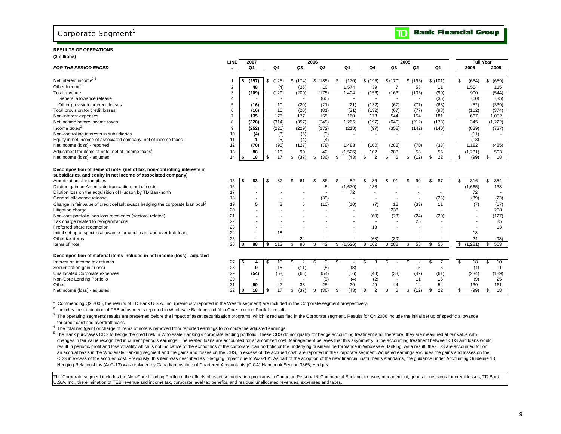## Corporate Segment<sup>1</sup>

### **RESULTS OF OPERATIONS(\$millions)**

|                                                                                           | LINE                    |     | 2007            |     |       |            | 2006       |                |                          |          | 2005       |                          | <b>Full Year</b>         |           |
|-------------------------------------------------------------------------------------------|-------------------------|-----|-----------------|-----|-------|------------|------------|----------------|--------------------------|----------|------------|--------------------------|--------------------------|-----------|
| <b>FOR THE PERIOD ENDED</b>                                                               | #                       |     | Q1              |     | Q4    | Q3         | Q2         | Q1             | Q4                       | Q3       | Q2         | Q1                       | 2006                     | 2005      |
|                                                                                           |                         |     |                 |     |       |            |            |                |                          |          |            |                          |                          |           |
| Net interest income $2,3$                                                                 |                         | -S  | (257)           | \$  | (125) | \$(174)    | \$(185)    | \$<br>(170)    | \$(195)                  | \$(170)  | \$(193)    | \$(101)                  | (654)<br>\$              | \$ (659)  |
| Other Income <sup>3</sup>                                                                 | $\overline{\mathbf{c}}$ |     | 48              |     | (4)   | (26)       | 10         | 1,574          | 39                       |          | 58         | 11                       | 1,554                    | 115       |
| Total revenue                                                                             | 3                       |     | (209)           |     | (129) | (200)      | (175)      | 1.404          | (156)                    | (163)    | (135)      | (90)                     | 900                      | (544)     |
| General allowance release                                                                 | 4                       |     |                 |     |       |            | (60)       |                |                          |          |            | (35)                     | (60)                     | (35)      |
| Other provision for credit losses <sup>3</sup>                                            | 5                       |     | (16)            |     | 10    | (20)       | (21)       | (21)           | (132)                    | (67)     | (77)       | (63)                     | (52)                     | (339)     |
| Total provision for credit losses                                                         | 6                       |     | (16)            |     | 10    | (20)       | (81)       | (21)           | (132)                    | (67)     | (77)       | (98)                     | (112)                    | (374)     |
| Non-interest expenses                                                                     | $\overline{7}$          |     | 135             |     | 175   | 177        | 155        | 160            | 173                      | 544      | 154        | 181                      | 667                      | 1,052     |
| Net income before income taxes                                                            | 8                       |     | (328)           |     | (314) | (357)      | (249)      | 1,265          | (197)                    | (640)    | (212)      | (173)                    | 345                      | (1,222)   |
| Income taxes <sup>2</sup>                                                                 | 9                       |     | (252)           |     | (220) | (229)      | (172)      | (218)          | (97)                     | (358)    | (142)      | (140)                    | (839)                    | (737)     |
| Non-controlling interests in subsidiaries                                                 | 10                      |     | (4)             |     | (3)   | (5)        | (3)        |                |                          |          |            |                          | (11)                     |           |
| Equity in net income of associated company, net of income taxes                           | 11                      |     | -1              |     | (5)   | (4)        | (4)        | $\blacksquare$ | $\overline{\phantom{a}}$ |          |            | $\sim$                   | (13)                     | $\sim$    |
| Net income (loss) - reported                                                              | 12                      |     | (70)            |     | (96)  | (127)      | (78)       | 1.483          | (100)                    | (282)    | (70)       | (33)                     | 1.182                    | (485)     |
| Adjustment for items of note, net of income taxes <sup>4</sup>                            | 13                      |     | 88              |     | 113   | 90         | 42         | (1,526)        | 102                      | 288      | 58         | 55                       | (1,281)                  | 503       |
| Net income (loss) - adjusted                                                              | 14                      | ∣\$ | $\overline{18}$ | \$  | 17    | (37)<br>\$ | (36)<br>\$ | \$<br>(43)     | \$<br>2                  | \$<br>6  | (12)<br>\$ | 22<br>\$                 | \$<br>(99)               | \$<br>18  |
| Decomposition of items of note (net of tax, non-controlling interests in                  |                         |     |                 |     |       |            |            |                |                          |          |            |                          |                          |           |
| subsidiaries, and equity in net income of associated company)                             |                         |     |                 |     |       |            |            |                |                          |          |            |                          |                          |           |
| Amortization of intangibles                                                               | 15                      |     | 83              |     | 87    | \$<br>61   | 86<br>\$   | \$<br>82       | 86<br>S                  | \$<br>91 | 90         | 87<br>\$.                | 316<br>\$                | 354<br>\$ |
| Dilution gain on Ameritrade transaction, net of costs                                     | 16                      |     |                 |     |       |            | 5          | (1,670)        | 138                      |          |            |                          | (1,665)                  | 138       |
| Dilution loss on the acquisition of Hudson by TD Banknorth                                | 17                      |     |                 |     |       |            |            | 72             |                          |          |            |                          | 72                       |           |
| General allowance release                                                                 | 18                      |     |                 |     |       |            | (39)       |                |                          |          |            | (23)                     | (39)                     | (23)      |
| Change in fair value of credit default swaps hedging the corporate loan book <sup>5</sup> | 19                      |     | 5               |     |       | 5          | (10)       | (10)           | (7)                      | 12       | (33)       | 11                       | (7)                      | (17)      |
| Litigation charge                                                                         | 20                      |     |                 |     |       |            |            | $\overline{a}$ |                          | 238      |            |                          | $\overline{\phantom{a}}$ | 238       |
| Non-core portfolio loan loss recoveries (sectoral related)                                | 21                      |     |                 |     |       |            |            | $\blacksquare$ | (60)                     | (23)     | (24)       | (20)                     |                          | (127)     |
| Tax charge related to reorganizations                                                     | 22                      |     |                 |     |       |            |            |                |                          |          | 25         |                          |                          | 25        |
| Preferred share redemption                                                                | 23                      |     |                 |     |       |            |            |                | 13                       |          |            |                          |                          | 13        |
| Initial set up of specific allowance for credit card and overdraft loans                  | 24                      |     |                 |     | 18    |            |            |                |                          |          |            |                          | 18                       |           |
| Other tax items                                                                           | 25                      |     |                 |     |       | 24         |            |                | (68)                     | (30)     |            | $\overline{\phantom{a}}$ | 24                       | (98)      |
| Items of note                                                                             | 26                      |     | 88              | \$  | 113   | 90<br>\$   | 42<br>\$   | \$(1,526)      | \$<br>102                | \$288    | 58         | 55<br>\$                 | (1,281)<br>\$            | 503<br>\$ |
| Decomposition of material items included in net income (loss) - adjusted                  |                         |     |                 |     |       |            |            |                |                          |          |            |                          |                          |           |
| Interest on income tax refunds                                                            | 27                      |     |                 | SS. | 13    | \$<br>2    | \$<br>3    | \$             | S<br>3                   |          |            | \$.                      | 18<br>\$                 | 10<br>\$  |
| Securitization gain / (loss)                                                              | 28                      |     | 9               |     | 15    | (11)       | (5)        | (3)            |                          |          | 5          | 6                        | (4)                      | 11        |
| Unallocated Corporate expenses                                                            | 29                      |     | (54)            |     | (58)  | (66)       | (54)       | (56)           | (48)                     | (38)     | (42)       | (61)                     | (234)                    | (189)     |
| Non-Core Lending Portfolio                                                                | 30                      |     |                 |     |       |            | (5)        | (4)            | (2)                      |          | 11         | 16                       | (9)                      | 25        |
| Other                                                                                     | 31                      |     | 59              |     | 47    | 38         | 25         | 20             | 49                       | 44       | 14         | 54                       | 130                      | 161       |
| Net income (loss) - adjusted                                                              | 32                      | -\$ | $\overline{18}$ | \$  | 17    | (37)<br>\$ | (36)<br>\$ | \$<br>(43)     | 2<br>-\$                 | 6<br>\$  | (12)<br>S  | 22<br>\$.                | \$<br>(99)               | 18<br>\$  |
|                                                                                           |                         |     |                 |     |       |            |            |                |                          |          |            |                          |                          |           |

1 Commencing Q2 2006, the results of TD Bank U.S.A. Inc. (previously reported in the Wealth segment) are included in the Corporate segment prospectively.

<sup>2</sup> Includes the elimination of TEB adjustments reported in Wholesale Banking and Non-Core Lending Portfolio results.

<sup>3</sup> The operating segments results are presented before the impact of asset securitization programs, which is reclassified in the Corporate segment. Results for Q4 2006 include the initial set up of specific allowance for credit card and overdraft loans.

 $4$  The total net (gain) or charge of items of note is removed from reported earnings to compute the adjusted earnings.

<sup>5</sup> The Bank purchases CDS to hedge the credit risk in Wholesale Banking's corporate lending portfolio. These CDS do not qualify for hedge accounting treatment and, therefore, they are measured at fair value with changes in fair value recognized in current period's earnings. The related loans are accounted for at amortized cost. Management believes that this asymmetry in the accounting treatment between CDS and loans would result in periodic profit and loss volatility which is not indicative of the economics of the corporate loan portfolio or the underlying business performance in Wholesale Banking. As a result, the CDS are accounted for on an accrual basis in the Wholesale Banking segment and the gains and losses on the CDS, in excess of the accrued cost, are reported in the Corporate segment. Adjusted earnings excludes the gains and losses on the CDS in excess of the accrued cost. Previously, this item was described as "Hedging impact due to AcG-13". As part of the adoption of the new financial instruments standards, the guidance under Accounting Guideline 13: Hedging Relationships (AcG-13) was replaced by Canadian Institute of Chartered Accountants (CICA) Handbook Section 3865, Hedges.

The Corporate segment includes the Non-Core Lending Portfolio, the effects of asset securitization programs in Canadian Personal & Commercial Banking, treasury management, general provisions for credit losses, TD Bank U.S.A. Inc., the elimination of TEB revenue and income tax, corporate level tax benefits, and residual unallocated revenues, expenses and taxes.

#### **Bank Financial Group**  $\overline{\mathbf{D}}$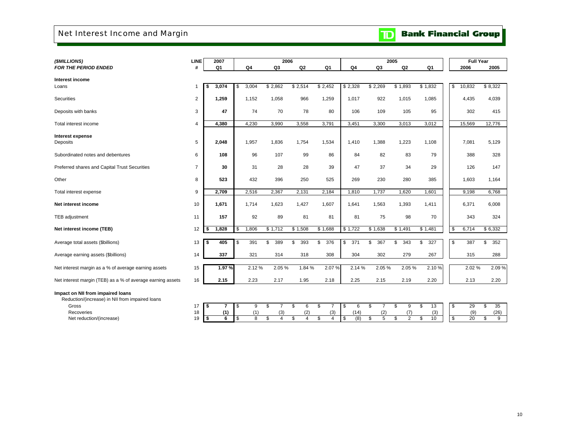# Net Interest Income and Margin

# **TD** Bank Financial Group

| (\$MILLIONS)                                                                         | <b>LINE</b>    |            | 2007           |                         |                | 2006                                       |                |                               |                | 2005                 |                      |                |    | <b>Full Year</b> |           |
|--------------------------------------------------------------------------------------|----------------|------------|----------------|-------------------------|----------------|--------------------------------------------|----------------|-------------------------------|----------------|----------------------|----------------------|----------------|----|------------------|-----------|
| <b>FOR THE PERIOD ENDED</b>                                                          | #              |            | Q <sub>1</sub> |                         | Q4             | Q <sub>3</sub>                             | Q <sub>2</sub> | Q <sub>1</sub>                | Q4             | Q3                   | Q2                   | Q <sub>1</sub> |    | 2006             | 2005      |
| Interest income                                                                      |                |            |                |                         |                |                                            |                |                               |                |                      |                      |                |    |                  |           |
| Loans                                                                                | $\overline{1}$ |            | 3,074          | \$                      | 3,004          | \$2,862                                    | \$2,514        | \$2,452                       | \$2,328        | \$2,269              | \$1,893              | \$1,832        | \$ | 10,832           | \$8,322   |
| Securities                                                                           | $\overline{2}$ |            | 1,259          |                         | 1,152          | 1,058                                      | 966            | 1,259                         | 1,017          | 922                  | 1,015                | 1,085          |    | 4,435            | 4,039     |
| Deposits with banks                                                                  | 3              |            | 47             |                         | 74             | 70                                         | 78             | 80                            | 106            | 109                  | 105                  | 95             |    | 302              | 415       |
| Total interest income                                                                | $\overline{4}$ |            | 4,380          |                         | 4,230          | 3,990                                      | 3,558          | 3,791                         | 3.451          | 3,300                | 3.013                | 3,012          |    | 15,569           | 12,776    |
| Interest expense<br>Deposits                                                         | 5              |            | 2,048          |                         | 1,957          | 1,836                                      | 1,754          | 1,534                         | 1,410          | 1,388                | 1,223                | 1,108          |    | 7,081            | 5,129     |
| Subordinated notes and debentures                                                    | 6              |            | 108            |                         | 96             | 107                                        | 99             | 86                            | 84             | 82                   | 83                   | 79             |    | 388              | 328       |
| Preferred shares and Capital Trust Securities                                        | $\overline{7}$ |            | 30             |                         | 31             | 28                                         | 28             | 39                            | 47             | 37                   | 34                   | 29             |    | 126              | 147       |
| Other                                                                                | 8              |            | 523            |                         | 432            | 396                                        | 250            | 525                           | 269            | 230                  | 280                  | 385            |    | 1,603            | 1,164     |
| Total interest expense                                                               | 9              |            | 2,709          |                         | 2,516          | 2,367                                      | 2,131          | 2,184                         | 1,810          | 1,737                | 1,620                | 1,601          |    | 9,198            | 6,768     |
| Net interest income                                                                  | 10             |            | 1,671          |                         | 1,714          | 1,623                                      | 1,427          | 1,607                         | 1,641          | 1,563                | 1,393                | 1,411          |    | 6,371            | 6,008     |
| <b>TEB</b> adjustment                                                                | 11             |            | 157            |                         | 92             | 89                                         | 81             | 81                            | 81             | 75                   | 98                   | 70             |    | 343              | 324       |
| Net interest income (TEB)                                                            | 12             | <b>S</b>   | 1,828          | \$                      | 1,806          | \$1,712                                    | \$1,508        | \$1,688                       | $\sqrt{1,722}$ | \$1,638              | \$1,491              | \$1,481        | \$ | 6,714            | \$6,332   |
| Average total assets (\$billions)                                                    | 13             | S.         | 405            | \$                      | 391            | \$<br>389                                  | \$<br>393      | \$<br>376                     | \$<br>371      | \$<br>367            | 343<br>\$            | \$<br>327      | \$ | 387              | 352<br>\$ |
| Average earning assets (\$billions)                                                  | 14             |            | 337            |                         | 321            | 314                                        | 318            | 308                           | 304            | 302                  | 279                  | 267            |    | 315              | 288       |
| Net interest margin as a % of average earning assets                                 | 15             |            | 1.97%          |                         | 2.12%          | 2.05%                                      | 1.84 %         | 2.07%                         | 2.14 %         | 2.05%                | 2.05%                | 2.10%          |    | 2.02%            | 2.09%     |
| Net interest margin (TEB) as a % of average earning assets                           | 16             |            | 2.15           |                         | 2.23           | 2.17                                       | 1.95           | 2.18                          | 2.25           | 2.15                 | 2.19                 | 2.20           |    | 2.13             | 2.20      |
| Impact on NII from impaired loans<br>Reduction/(increase) in NII from impaired loans |                |            |                |                         |                |                                            |                |                               |                |                      |                      |                |    |                  |           |
| Gross                                                                                | 17             | $\sqrt{2}$ | 7              | \$                      | 9              | \$<br>$\overline{7}$                       | \$<br>6        | \$<br>$\overline{7}$          | \$<br>6        | \$<br>$\overline{7}$ | \$<br>9              | 13<br>\$       | \$ | 29               | \$<br>35  |
| Recoveries                                                                           | 18             |            | (1)            |                         | (1)            | (3)                                        | (2)            | (3)                           | (14)           | (2)                  | (7)                  | (3)            |    | (9)              | (26)      |
| Net reduction/(increase)                                                             | 19             | <b>S</b>   | 6              | $\overline{\mathbf{s}}$ | $\overline{8}$ | $\overline{\mathcal{S}}$<br>$\overline{4}$ | \$<br>4        | $\overline{\mathcal{S}}$<br>4 | (8)<br>\$      | $\overline{5}$<br>\$ | $\overline{2}$<br>\$ | s,<br>10       | s, | 20               | \$<br>9   |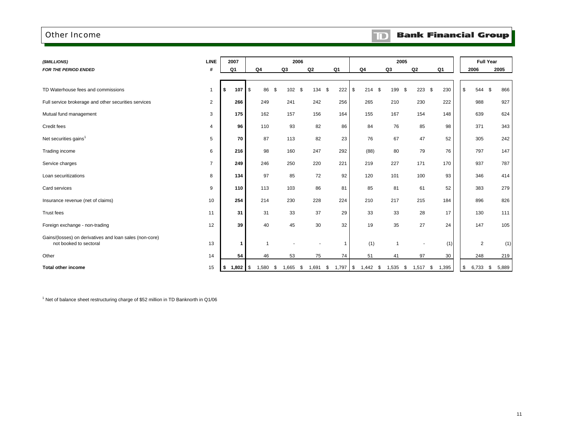### Other Income

### $\mathbf{D}$ **Bank Financial Group**

| (\$MILLIONS)                                                                      | <b>LINE</b>    | 2007             |                  | 2006             |           |                  |                |            | 2005           |     |                          |       | <b>Full Year</b>            |           |
|-----------------------------------------------------------------------------------|----------------|------------------|------------------|------------------|-----------|------------------|----------------|------------|----------------|-----|--------------------------|-------|-----------------------------|-----------|
| <b>FOR THE PERIOD ENDED</b>                                                       | #              | Q1               | Q4               | Q3               | Q2        | Q <sub>1</sub>   | Q <sub>4</sub> |            | Q3             | Q2  |                          | Q1    | 2006                        | 2005      |
|                                                                                   |                |                  |                  |                  |           |                  |                |            |                |     |                          |       |                             |           |
| TD Waterhouse fees and commissions                                                | $\mathbf{1}$   | \$<br>107        | $\sqrt{3}$<br>86 | \$<br>102        | \$<br>134 | \$<br>222        | \$             | 214S       | 199 \$         |     | 223S                     | 230   | \$<br>544                   | \$<br>866 |
| Full service brokerage and other securities services                              | $\overline{2}$ | 266              | 249              | 241              | 242       | 256              |                | 265        | 210            |     | 230                      | 222   | 988                         | 927       |
| Mutual fund management                                                            | 3              | 175              | 162              | 157              | 156       | 164              |                | 155        | 167            |     | 154                      | 148   | 639                         | 624       |
| Credit fees                                                                       | $\overline{4}$ | 96               | 110              | 93               | 82        | 86               |                | 84         | 76             |     | 85                       | 98    | 371                         | 343       |
| Net securities gains <sup>1</sup>                                                 | 5              | 70               | 87               | 113              | 82        | 23               |                | 76         | 67             |     | 47                       | 52    | 305                         | 242       |
| Trading income                                                                    | 6              | 216              | 98               | 160              | 247       | 292              |                | (88)       | 80             |     | 79                       | 76    | 797                         | 147       |
| Service charges                                                                   | $\overline{7}$ | 249              | 246              | 250              | 220       | 221              |                | 219        | 227            | 171 |                          | 170   | 937                         | 787       |
| Loan securitizations                                                              | 8              | 134              | 97               | 85               | 72        | 92               |                | 120        | 101            |     | 100                      | 93    | 346                         | 414       |
| Card services                                                                     | 9              | 110              | 113              | 103              | 86        | 81               |                | 85         | 81             |     | 61                       | 52    | 383                         | 279       |
| Insurance revenue (net of claims)                                                 | 10             | 254              | 214              | 230              | 228       | 224              |                | 210        | 217            |     | 215                      | 184   | 896                         | 826       |
| Trust fees                                                                        | 11             | 31               | 31               | 33               | 37        | 29               |                | 33         | 33             |     | 28                       | 17    | 130                         | 111       |
| Foreign exchange - non-trading                                                    | 12             | 39               | 40               | 45               | 30        | 32               |                | 19         | 35             |     | 27                       | 24    | 147                         | 105       |
| Gains/(losses) on derivatives and loan sales (non-core)<br>not booked to sectoral | 13             | -1               |                  |                  |           | $\mathbf{1}$     |                | (1)        | $\overline{1}$ |     | $\overline{\phantom{a}}$ | (1)   | 2                           | (1)       |
| Other                                                                             | 14             | 54               | 46               | 53               | 75        | 74               |                | 51         | 41             |     | 97                       | 30    | 248                         | 219       |
| <b>Total other income</b>                                                         | 15             | \$<br>$1,802$ \$ | 1,580            | \$<br>$1,665$ \$ | 1,691     | \$<br>$1,797$ \$ |                | $1,442$ \$ | $1,535$ \$     |     | $1,517$ \$               | 1,395 | $\frac{1}{2}$<br>$6,733$ \$ | 5,889     |

 $1$  Net of balance sheet restructuring charge of \$52 million in TD Banknorth in Q1/06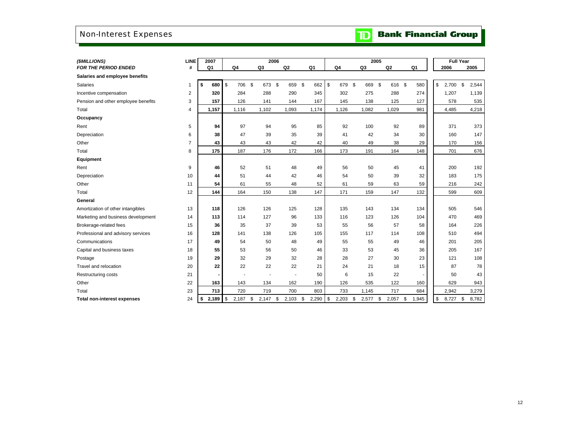# Non-Interest Expenses

|  | <b>TD</b> Bank Financial Group |  |
|--|--------------------------------|--|
|  |                                |  |

| (\$MILLIONS)                        | <b>LINE</b>    | 2007        |           | 2006                     |                |                |       |              |                |             | 2005 |       |                |     | <b>Full Year</b> |             |
|-------------------------------------|----------------|-------------|-----------|--------------------------|----------------|----------------|-------|--------------|----------------|-------------|------|-------|----------------|-----|------------------|-------------|
| <b>FOR THE PERIOD ENDED</b>         | #              | Q1          | Q4        | Q3                       | Q <sub>2</sub> |                | Q1    |              | Q <sub>4</sub> | Q3          |      | Q2    | Q <sub>1</sub> |     | 2006             | 2005        |
| Salaries and employee benefits      |                |             |           |                          |                |                |       |              |                |             |      |       |                |     |                  |             |
| <b>Salaries</b>                     | 1              | \$<br>680   | \$<br>706 | \$<br>673 \$             | 659            | \$             | 662   | $\mathbb{S}$ | 679            | \$<br>669   | \$   | 616   | - \$           | 580 | \$<br>2,700      | \$<br>2,544 |
| Incentive compensation              | 2              | 320         | 284       | 288                      | 290            |                | 345   |              | 302            | 275         |      | 288   |                | 274 | 1,207            | 1,139       |
| Pension and other employee benefits | 3              | 157         | 126       | 141                      | 144            |                | 167   |              | 145            | 138         |      | 125   |                | 127 | 578              | 535         |
| Total                               | 4              | 1,157       | 1,116     | 1,102                    | 1,093          |                | 1,174 |              | 1,126          | 1,082       |      | 1,029 |                | 981 | 4,485            | 4,218       |
| Occupancy                           |                |             |           |                          |                |                |       |              |                |             |      |       |                |     |                  |             |
| Rent                                | 5              | 94          | 97        | 94                       | 95             |                | 85    |              | 92             | 100         |      | 92    |                | 89  | 371              | 373         |
| Depreciation                        | 6              | 38          | 47        | 39                       | 35             |                | 39    |              | 41             | 42          |      | 34    |                | 30  | 160              | 147         |
| Other                               | $\overline{7}$ | 43          | 43        | 43                       | 42             |                | 42    |              | 40             | 49          |      | 38    |                | 29  | 170              | 156         |
| Total                               | 8              | 175         | 187       | 176                      | 172            |                | 166   |              | 173            | 191         |      | 164   |                | 148 | 701              | 676         |
| Equipment                           |                |             |           |                          |                |                |       |              |                |             |      |       |                |     |                  |             |
| Rent                                | 9              | 46          | 52        | 51                       | 48             |                | 49    |              | 56             | 50          |      | 45    |                | 41  | 200              | 192         |
| Depreciation                        | 10             | 44          | 51        | 44                       | 42             |                | 46    |              | 54             | 50          |      | 39    |                | 32  | 183              | 175         |
| Other                               | 11             | 54          | 61        | 55                       | 48             |                | 52    |              | 61             | 59          |      | 63    |                | 59  | 216              | 242         |
| Total                               | 12             | 144         | 164       | 150                      | 138            |                | 147   |              | 171            | 159         |      | 147   |                | 132 | 599              | 609         |
| General                             |                |             |           |                          |                |                |       |              |                |             |      |       |                |     |                  |             |
| Amortization of other intangibles   | 13             | 118         | 126       | 126                      | 125            |                | 128   |              | 135            | 143         |      | 134   |                | 134 | 505              | 546         |
| Marketing and business development  | 14             | 113         | 114       | 127                      | 96             |                | 133   |              | 116            | 123         |      | 126   |                | 104 | 470              | 469         |
| Brokerage-related fees              | 15             | 36          | 35        | 37                       | 39             |                | 53    |              | 55             | 56          |      | 57    |                | 58  | 164              | 226         |
| Professional and advisory services  | 16             | 128         | 141       | 138                      | 126            |                | 105   |              | 155            | 117         |      | 114   |                | 108 | 510              | 494         |
| Communications                      | 17             | 49          | 54        | 50                       | 48             |                | 49    |              | 55             | 55          |      | 49    |                | 46  | 201              | 205         |
| Capital and business taxes          | 18             | 55          | 53        | 56                       | 50             |                | 46    |              | 33             | 53          |      | 45    |                | 36  | 205              | 167         |
| Postage                             | 19             | 29          | 32        | 29                       | 32             |                | 28    |              | 28             | 27          |      | 30    |                | 23  | 121              | 108         |
| Travel and relocation               | 20             | 22          | 22        | 22                       | 22             |                | 21    |              | 24             | 21          |      | 18    |                | 15  | 87               | 78          |
| <b>Restructuring costs</b>          | 21             |             |           | $\overline{\phantom{a}}$ |                | $\overline{a}$ | 50    |              | 6              | 15          |      | 22    |                |     | 50               | 43          |
| Other                               | 22             | 163         | 143       | 134                      | 162            |                | 190   |              | 126            | 535         |      | 122   |                | 160 | 629              | 943         |
| Total                               | 23             | 713         | 720       | 719                      | 700            |                | 803   |              | 733            | 1,145       |      | 717   |                | 684 | 2,942            | 3,279       |
| <b>Total non-interest expenses</b>  | 24             | $$^{\circ}$ | 2,187     | \$<br>2,147              | \$<br>2,103    | \$             | 2,290 | \$           | 2,203          | \$<br>2,577 | \$   | 2,057 | \$<br>1,945    |     | \$<br>8,727      | \$<br>8,782 |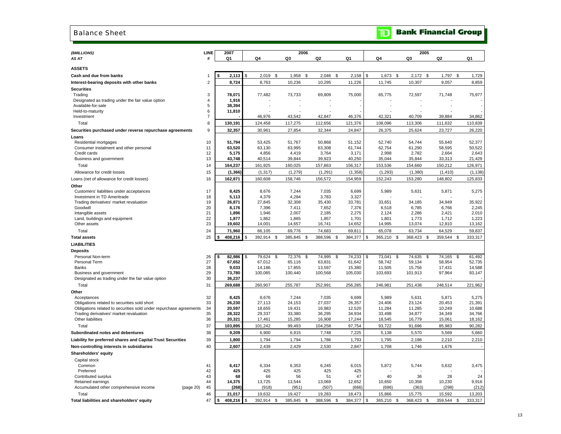### Balance Sheet

| (\$MILLIONS)                                                                                                  | LINE           | 2007             |                  |                |                  | 2006 |                  |                  |                  | 2005             |                  |                  |
|---------------------------------------------------------------------------------------------------------------|----------------|------------------|------------------|----------------|------------------|------|------------------|------------------|------------------|------------------|------------------|------------------|
| AS AT                                                                                                         | #              | Q1               | Q4               |                | Q3               |      | Q <sub>2</sub>   | Q1               | Q4               | Q3               | Q <sub>2</sub>   | Q1               |
| <b>ASSETS</b>                                                                                                 |                |                  |                  |                |                  |      |                  |                  |                  |                  |                  |                  |
| Cash and due from banks                                                                                       | 1              | 2,113            | \$<br>$2,019$ \$ |                | 1,958 \$         |      | $2,046$ \$       | 2,158            | \$<br>$1,673$ \$ | $2,172$ \$       | 1,797            | \$<br>1,729      |
| Interest-bearing deposits with other banks                                                                    | $\overline{2}$ | 8,724            | 8,763            |                | 10,236           |      | 10,295           | 11,226           | 11,745           | 10,307           | 9,057            | 8,859            |
| <b>Securities</b>                                                                                             |                |                  |                  |                |                  |      |                  |                  |                  |                  |                  |                  |
| Trading                                                                                                       | 3              | 78,071           | 77,482           |                | 73,733           |      | 69,809           | 75,000           | 65,775           | 72,597           | 71,748           | 75,977           |
| Designated as trading under the fair value option                                                             | 4              | 1,916            |                  |                |                  |      |                  |                  |                  |                  |                  |                  |
| Available-for-sale                                                                                            | 5<br>6         | 38,394           |                  |                |                  |      |                  |                  |                  |                  |                  |                  |
| Held-to-maturity<br>Investment                                                                                | $\overline{7}$ | 11,810           | 46,976           |                | 43.542           |      | 42,847           | 46,376           | 42,321           | 40,709           | 39,884           | 34,862           |
| Total                                                                                                         | 8              | 130,191          | 124,458          |                | 117,275          |      | 112,656          | 121,376          | 108,096          | 113,306          | 111,632          | 110,839          |
|                                                                                                               |                |                  |                  |                |                  |      |                  |                  |                  |                  |                  |                  |
| Securities purchased under reverse repurchase agreements                                                      | 9              | 32,357           | 30,961           |                | 27,854           |      | 32,344           | 24,847           | 26,375           | 25,624           | 23,727           | 26,220           |
| Loans<br>Residential mortgages                                                                                | 10             | 51,794           | 53,425           |                | 51,767           |      | 50,868           | 51,152           | 52,740           | 54,744           | 55.640           | 52,377           |
| Consumer instalment and other personal                                                                        | 11             | 63,520           | 63,130           |                | 63,995           |      | 63,308           | 61,744           | 62,754           | 61,290           | 58,595           | 50,522           |
| Credit cards                                                                                                  | 12             | 5,175            | 4,856            |                | 4.419            |      | 3,764            | 3,171            | 2,998            | 2.782            | 2,664            | 2,643            |
| Business and government                                                                                       | 13             | 43,748           | 40,514           |                | 39,844           |      | 39,923           | 40,250           | 35,044           | 35,844           | 33,313           | 21,429           |
| Total                                                                                                         | 14             | 164,237          | 161,925          |                | 160,025          |      | 157,863          | 156,317          | 153,536          | 154,660          | 150,212          | 126,971          |
| Allowance for credit losses                                                                                   | 15             | (1, 366)         | (1, 317)         |                | (1, 279)         |      | (1, 291)         | (1,358)          | (1,293)          | (1, 380)         | (1, 410)         | (1, 138)         |
| Loans (net of allowance for credit losses)                                                                    | 16             | 162,871          | 160,608          |                | 158,746          |      | 156,572          | 154,959          | 152,243          | 153,280          | 148,802          | 125,833          |
| Other                                                                                                         |                |                  |                  |                |                  |      |                  |                  |                  |                  |                  |                  |
| Customers' liabilities under acceptances                                                                      | 17             | 8,425            | 8,676            |                | 7,244            |      | 7,035            | 6,699            | 5,989            | 5,631            | 5,871            | 5,275            |
| Investment in TD Ameritrade                                                                                   | 18             | 5,113            | 4,379            |                | 4,284            |      | 3,783            | 3,327            |                  |                  |                  |                  |
| Trading derivatives' market revaluation                                                                       | 19             | 26,871           | 27,845           |                | 32,308           |      | 35,430           | 33,781           | 33,651           | 34,185           | 34,949           | 35,922           |
| Goodwill                                                                                                      | 20             | 8.176            | 7,396            |                | 7,411            |      | 7,652            | 7,376            | 6,518            | 6,785            | 6,766            | 2,245            |
| Intangible assets<br>Land, buildings and equipment                                                            | 21<br>22       | 1,896<br>1,877   | 1,946<br>1,862   |                | 2,007<br>1,865   |      | 2,185<br>1,857   | 2,275<br>1,701   | 2,124<br>1,801   | 2,286<br>1,773   | 2,421<br>1,712   | 2,010<br>1,223   |
| Other assets                                                                                                  | 23             | 19,602           | 14,001           |                | 14,657           |      | 16,741           | 14,652           | 14,995           | 13,074           | 12,810           | 13,162           |
| Total                                                                                                         | 24             | 71,960           | 66,105           |                | 69,776           |      | 74,683           | 69,811           | 65,078           | 63,734           | 64,529           | 59,837           |
| <b>Total assets</b>                                                                                           | 25             | 408,216<br>\$    | 392,914          | \$             | 385,845          | \$.  | 388,596          | \$<br>384,377    | \$<br>365,210    | \$<br>368,423    | \$<br>359,544    | \$<br>333,317    |
| <b>LIABILITIES</b>                                                                                            |                |                  |                  |                |                  |      |                  |                  |                  |                  |                  |                  |
|                                                                                                               |                |                  |                  |                |                  |      |                  |                  |                  |                  |                  |                  |
| <b>Deposits</b><br>Personal Non-term                                                                          | 26             | 82,986           | \$<br>79,624     | $\mathfrak{s}$ | 72,376           | \$   | 74,995           | \$<br>74,233     | \$<br>73,041     | \$<br>74,635     | \$<br>74,165     | \$<br>61,492     |
| Personal Term                                                                                                 | 27             | 67,652           | 67,012           |                | 65,116           |      | 63,831           | 61,642           | 58,742           | 59,134           | 58,954           | 52,735           |
| Banks                                                                                                         | 28             | 9,033            | 14,186           |                | 17,855           |      | 13,597           | 15,380           | 11,505           | 15,756           | 17,431           | 14,588           |
| Business and government                                                                                       | 29             | 73,780           | 100,085          |                | 100,440          |      | 100,568          | 105,030          | 103,693          | 101,913          | 97,964           | 93,147           |
| Designated as trading under the fair value option                                                             | 30             | 36,237           |                  |                |                  |      |                  |                  |                  |                  |                  |                  |
| Total                                                                                                         | 31             | 269,688          | 260,907          |                | 255,787          |      | 252,991          | 256,285          | 246,981          | 251,438          | 248,514          | 221,962          |
| Other                                                                                                         |                |                  |                  |                |                  |      |                  |                  |                  |                  |                  |                  |
| Acceptances                                                                                                   | 32             | 8,425            | 8,676            |                | 7,244            |      | 7,035            | 6,699            | 5,989            | 5,631            | 5,871            | 5,275            |
| Obligations related to securities sold short                                                                  | 33<br>34       | 26,230<br>20,597 | 27,113           |                | 24,153           |      | 27,037           | 26,357           | 24,406<br>11,284 | 23,124           | 20,453           | 21,391           |
| Obligations related to securities sold under repurchase agreements<br>Trading derivatives' market revaluation | 35             | 28,322           | 18,655<br>29,337 |                | 19,431<br>33,380 |      | 16,983<br>36,295 | 12,520<br>34,934 | 33,498           | 11,285<br>34,877 | 10,249<br>34,349 | 10,688<br>34,766 |
| Other liabilities                                                                                             | 36             | 20,321           | 17,461           |                | 15,285           |      | 16,908           | 17,244           | 18,545           | 16,779           | 15,061           | 18,162           |
| Total                                                                                                         | 37             | 103,895          | 101,242          |                | 99,493           |      | 104,258          | 97,754           | 93,722           | 91,696           | 85,983           | 90,282           |
| Subordinated notes and debentures                                                                             | 38             | 9,209            | 6,900            |                | 6,915            |      | 7,748            | 7,225            | 5,138            | 5,570            | 5,569            | 5,660            |
| Liability for preferred shares and Capital Trust Securities                                                   | 39             | 1,800            | 1,794            |                | 1,794            |      | 1,786            | 1,793            | 1,795            | 2,198            | 2,210            | 2,210            |
|                                                                                                               |                |                  |                  |                |                  |      |                  |                  |                  |                  |                  |                  |

| I rading derivatives' market revaluation<br>Other liabilities | 35<br>36 | 28,322<br>20,321 | 29,337<br>17,461 | 33,380<br>15,285 | 36,295<br>16,908 | 34,934<br>17.244 | 33.498<br>18,545 | 34,877<br>16,779 | 34,349<br>15,061 | 34,766<br>18,162 |
|---------------------------------------------------------------|----------|------------------|------------------|------------------|------------------|------------------|------------------|------------------|------------------|------------------|
| Total                                                         | 37       | 103,895          | 101.242          | 99,493           | 104,258          | 97,754           | 93,722           | 91,696           | 85,983           | 90,282           |
| Subordinated notes and debentures                             | 38       | 9.209            | 6,900            | 6,915            | 7.748            | 7.225            | 5,138            | 5,570            | 5,569            | 5,660            |
| Liability for preferred shares and Capital Trust Securities   | 39       | 1.800            | 1,794            | 1,794            | 1,786            | 1,793            | 1,795            | 2,198            | 2,210            | 2,210            |
| Non-controlling interests in subsidiaries                     | 40       | 2,607            | 2,439            | 2,429            | 2,530            | 2,847            | 708.             | 1,746            | 1,676            |                  |
| Shareholders' equity                                          |          |                  |                  |                  |                  |                  |                  |                  |                  |                  |
| Capital stock                                                 |          |                  |                  |                  |                  |                  |                  |                  |                  |                  |
| Common                                                        | 41       | 6,417            | 6,334            | 6,353            | 6,245            | 6,015            | 5,872            | 5,744            | 5,632            | 3,475            |
| Preferred                                                     | 42       | 425              | 425              | 425              | 425              | 425              |                  |                  |                  |                  |
| Contributed surplus                                           | 43       | 68               | 66               | 56               | 51               | 47               | 40               | 36               | 28               | 24               |
| Retained earnings                                             | 44       | 14,375           | 13,725           | 13,544           | 13,069           | 12,652           | 10,650           | 10,358           | 10,230           | 9,916            |
| (page 20)<br>Accumulated other comprehensive income           | 45       | (268)            | (918)            | (951)            | (507)            | (666)            | (696)            | (363)            | (298)            | (212)            |
| Total                                                         | 46       | 21.017           | 19,632           | 19,427           | 19,283           | 18,473           | 15,866           | 15,775           | 15,592           | 13,203           |
| Total liabilities and shareholders' equity                    | 47       | 408,216          | 392,914          | 385,845<br>- 35  | 388,596          | 384,377 \$       | 365,210          | 368,423          | 359,544          | 333,317          |

# **TD** Bank Financial Group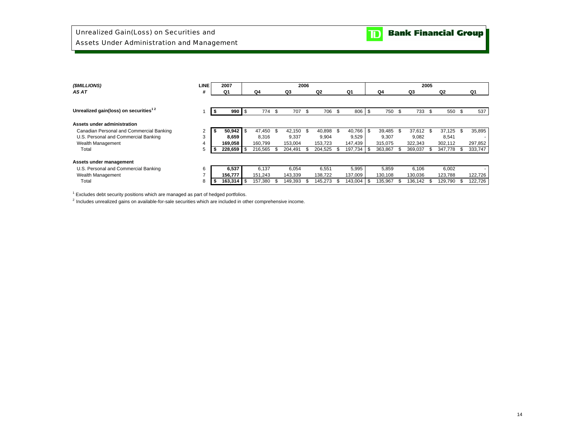| (\$MILLIONS)                                      | <b>LINE</b> | 2007           |         |     |            | 2006 |         |     |                 |         |      |           | 2005 |         |      |         |
|---------------------------------------------------|-------------|----------------|---------|-----|------------|------|---------|-----|-----------------|---------|------|-----------|------|---------|------|---------|
| AS AT                                             | #           | Q1             | Q4      |     | Q3         |      | Q2      |     | Q1              | Q4      |      | Q3        |      | Q2      |      | Q1      |
|                                                   |             |                |         |     |            |      |         |     |                 |         |      |           |      |         |      |         |
| Unrealized gain(loss) on securities <sup>12</sup> |             | $990$ \ \$     | 774 \$  |     | 707        | - \$ | 706     | \$  | 806 \$          | 750     | \$   | 733 \$    |      | 550     | \$   | 537     |
| Assets under administration                       |             |                |         |     |            |      |         |     |                 |         |      |           |      |         |      |         |
| Canadian Personal and Commercial Banking          |             | $50,942$ \$    | 47.450  | \$  | 42,150 \$  |      | 40,898  | \$. | $40.766$ \ \ \$ | 39,485  | - \$ | 37,612 \$ |      | 37,125  | \$   | 35,895  |
| U.S. Personal and Commercial Banking              | 3           | 8,659          | 8,316   |     | 9.337      |      | 9.904   |     | 9,529           | 9,307   |      | 9,082     |      | 8,541   |      |         |
| Wealth Management                                 | 4           | 169,058        | 160.799 |     | 153,004    |      | 153.723 |     | 147,439         | 315,075 |      | 322,343   |      | 302,112 |      | 297,852 |
| Total                                             | 5           | $228,659$ \$   | 216,565 | Эň, | 204,491    |      | 204,525 |     | 197,734 \$      | 363,867 | \$.  | 369,037   | .ზ   | 347,778 | \$   | 333,747 |
| Assets under management                           |             |                |         |     |            |      |         |     |                 |         |      |           |      |         |      |         |
| U.S. Personal and Commercial Banking              | 6           | 6,537          | 6.137   |     | 6.054      |      | 6.551   |     | 5,995           | 5,859   |      | 6.106     |      | 6,002   |      |         |
| Wealth Management                                 | -           | 156,777        | 151,243 |     | 143,339    |      | 138,722 |     | 137,009         | 130,108 |      | 130,036   |      | 123,788 |      | 122,726 |
| Total                                             | 8           | $163,314$ \ \$ | 157,380 |     | 149.393 \$ |      | 145.273 |     | $143,004$ \\$   | 135,967 | \$   | 136.142   |      | 129.790 | - \$ | 122.726 |

 $<sup>1</sup>$  Excludes debt security positions which are managed as part of hedged portfolios.</sup>

 $2$  Includes unrealized gains on available-for-sale securities which are included in other comprehensive income.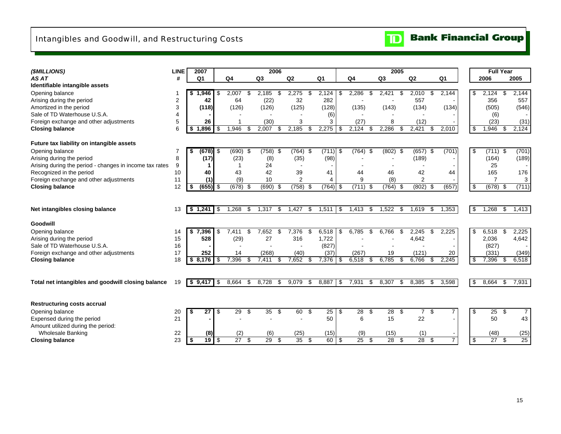# Intangibles and Goodwill, and Restructuring Costs



| (\$MILLIONS)                                            | <b>LINE</b> | 2007                |      |                 |             | 2006       |                 |      |                 |     |                 |     | 2005            |      |                |                |                |                       | <b>Full Year</b> |                |
|---------------------------------------------------------|-------------|---------------------|------|-----------------|-------------|------------|-----------------|------|-----------------|-----|-----------------|-----|-----------------|------|----------------|----------------|----------------|-----------------------|------------------|----------------|
| AS AT                                                   | #           | Q <sub>1</sub>      |      | Q <sub>4</sub>  | Q3          |            | Q2              |      | Q <sub>1</sub>  |     | Q <sub>4</sub>  |     | Q <sub>3</sub>  |      | Q2             | Q <sub>1</sub> |                | 2006                  |                  | 2005           |
| Identifiable intangible assets                          |             |                     |      |                 |             |            |                 |      |                 |     |                 |     |                 |      |                |                |                |                       |                  |                |
| Opening balance                                         |             | .946<br>\$1         | \$   | 2,007           | 2,185<br>\$ | \$         | 2,275           | \$   | 2,124           | \$  | 2,286           | £.  | 2,421           | \$   | 2,010          | \$             | 2,144          | \$<br>2,124           | \$               | 2,144          |
| Arising during the period                               | 2           | 42                  |      | 64              |             | (22)       | 32              |      | 282             |     |                 |     |                 |      | 557            |                |                | 356                   |                  | 557            |
| Amortized in the period                                 | 3           | (118)               |      | (126)           | (126)       |            | (125)           |      | (128)           |     | (135)           |     | (143)           |      | (134)          |                | (134)          | (505)                 |                  | (546)          |
| Sale of TD Waterhouse U.S.A.                            | 4           |                     |      |                 |             |            |                 |      | (6)             |     |                 |     |                 |      |                |                |                | (6)                   |                  |                |
| Foreign exchange and other adjustments                  | 5           | 26                  |      |                 |             | (30)       | 3               |      | 3               |     | (27)            |     | 8               |      | (12)           |                |                | (23)                  |                  | (31)           |
| <b>Closing balance</b>                                  | 6           | 1.896<br>S          | \$   | 1,946           | 2,007<br>-S | S          | 2,185           | \$.  | 2,275           | \$  | 2,124           | \$. | 2,286           | \$   | 2,421          | \$.            | 2,010          | \$<br>1,946           | -S               | 2,124          |
|                                                         |             |                     |      |                 |             |            |                 |      |                 |     |                 |     |                 |      |                |                |                |                       |                  |                |
| Future tax liability on intangible assets               |             |                     |      |                 |             |            |                 |      |                 |     |                 |     |                 |      |                |                |                |                       |                  |                |
| Opening balance                                         | 7           | $(678)$ \$<br>S     |      | $(690)$ \$      |             | $(758)$ \$ | $(764)$ \$      |      | (711)           | \$  | (764)           | -\$ | (802)           | \$   | $(657)$ \$     |                | (701)          | \$<br>$(711)$ \$      |                  | (701)          |
| Arising during the period                               | 8           | (17)                |      | (23)            |             | (8)        | (35)            |      | (98)            |     |                 |     |                 |      | (189)          |                |                | (164)                 |                  | (189)          |
| Arising during the period - changes in income tax rates | 9           |                     |      | -1              |             | 24         |                 |      |                 |     |                 |     |                 |      |                |                |                | 25                    |                  |                |
| Recognized in the period                                | 10          | 40                  |      | 43              |             | 42         | 39              |      | 41              |     | 44              |     | 46              |      | 42             |                | 44             | 165                   |                  | 176            |
| Foreign exchange and other adjustments                  | 11          | (1)                 |      | (9)             |             | 10         | 2               |      | Δ               |     | 9               |     | (8)             |      | $\overline{2}$ |                |                | $\overline{7}$        |                  |                |
| <b>Closing balance</b>                                  | 12          | (655)               |      | $(678)$ \$      | (690)       | \$         | (758)           | - \$ | (764)           | -\$ | (711)           | \$  | (764)           | -\$  | (802)          | $\sqrt{3}$     | (657)          | \$<br>$(678)$ \$      |                  | (711)          |
|                                                         |             |                     |      |                 |             |            |                 |      |                 |     |                 |     |                 |      |                |                |                |                       |                  |                |
|                                                         |             |                     |      |                 |             |            |                 |      |                 |     |                 |     |                 |      |                |                |                |                       |                  |                |
| Net intangibles closing balance                         | 13          | 1.241<br>S          | S    | 1,268           | 1,317<br>S  | \$         | 1,427           | \$   | 1,511           | \$  | 1,413           | -\$ | 1.522           | - \$ | 1.619          | - \$           | 1,353          | \$<br>1,268           | -\$              | 1,413          |
| Goodwill                                                |             |                     |      |                 |             |            |                 |      |                 |     |                 |     |                 |      |                |                |                |                       |                  |                |
| Opening balance                                         | 14          | \$7,396             | \$   | 7,411           | 7,652<br>\$ | \$         | 7,376           | \$   | 6,518           | \$  | 6,785           | \$  | 6,766           | \$   | 2,245          | \$             | 2,225          | \$<br>6,518           | \$               | 2,225          |
| Arising during the period                               | 15          | 528                 |      | (29)            |             | 27         | 316             |      | 1,722           |     |                 |     |                 |      | 4,642          |                |                | 2,036                 |                  | 4,642          |
| Sale of TD Waterhouse U.S.A.                            | 16          |                     |      |                 |             |            |                 |      | (827)           |     |                 |     |                 |      |                |                |                | (827)                 |                  |                |
| Foreign exchange and other adjustments                  | 17          | 252                 |      | 14              | (268)       |            | (40)            |      | (37)            |     | (267)           |     | 19              |      | (121)          |                | 20             | (331)                 |                  | (349)          |
|                                                         | 18          | \$8.176             | \$   | 7,396           | 7.411<br>\$ | \$         | 7,652           | \$   | 7,376           | \$  | 6,518           | \$  | 6,785           | \$   | 6.766          | \$.            | 2,245          | \$<br>7,396           | \$               | 6,518          |
| <b>Closing balance</b>                                  |             |                     |      |                 |             |            |                 |      |                 |     |                 |     |                 |      |                |                |                |                       |                  |                |
|                                                         |             |                     |      |                 |             |            |                 |      |                 |     |                 |     |                 |      |                |                |                |                       |                  |                |
| Total net intangibles and goodwill closing balance      | 19          | $\frac{1}{2}$ 9.417 | \$   | 8.664           | \$<br>8,728 | \$         | 9,079           | \$   | 8,887           | \$  | 7,931           | \$  | 8,307           | \$   | 8,385          | - \$           | 3,598          | \$<br>8,664           | - \$             | 7,931          |
|                                                         |             |                     |      |                 |             |            |                 |      |                 |     |                 |     |                 |      |                |                |                |                       |                  |                |
|                                                         |             |                     |      |                 |             |            |                 |      |                 |     |                 |     |                 |      |                |                |                |                       |                  |                |
| <b>Restructuring costs accrual</b>                      |             |                     |      |                 |             |            |                 |      |                 |     |                 |     |                 |      |                |                |                |                       |                  |                |
| Opening balance                                         | 20          | 27                  | \$   | 29              | \$          | 35<br>\$   | 60              | -\$  | $\overline{25}$ | \$  | 28              | \$  | 28              | \$   | $\overline{7}$ | \$             |                | \$<br>$\overline{25}$ | \$               | $\overline{7}$ |
| Expensed during the period                              | 21          |                     |      |                 |             |            |                 |      | 50              |     | 6               |     | 15              |      | 22             |                |                | 50                    |                  | 43             |
| Amount utilized during the period:                      |             |                     |      |                 |             |            |                 |      |                 |     |                 |     |                 |      |                |                |                |                       |                  |                |
| Wholesale Banking                                       | 22          | (8)                 |      | (2)             |             | (6)        | (25)            |      | (15)            |     | (9)             |     | (15)            |      | (1)            |                |                | (48)                  |                  | (25)           |
| <b>Closing balance</b>                                  | 23          | 19<br>\$            | l \$ | $\overline{27}$ | \$          | 29<br>\$   | $\overline{35}$ | \$   | $60$ \ \$       |     | $\overline{25}$ | \$  | $\overline{28}$ | \$   | 28             | -\$            | $\overline{7}$ | \$<br>$\overline{27}$ | \$               | 25             |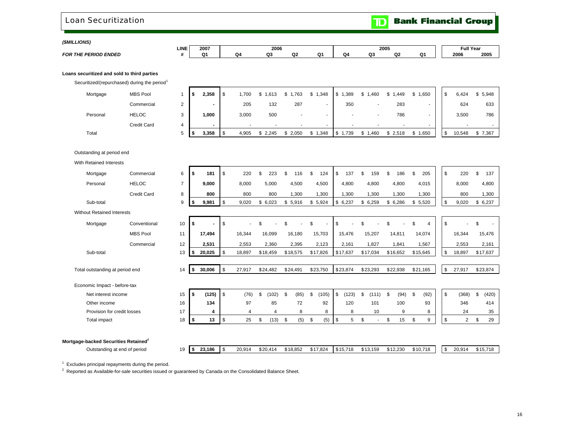### Loan Securitization

**Bank Financial Group** 

 $\mathbf{D}$ 

*(\$MILLIONS)* 

| .                           |      |          |    |           |   |    |    |                   |    |    |      |                          |
|-----------------------------|------|----------|----|-----------|---|----|----|-------------------|----|----|------|--------------------------|
|                             | LINE | 2007     |    | 2006<br>. |   |    |    | 2005              |    |    |      | $\mathbf{H}$<br>-ull Ye. |
| <b>ERIOD ENDED</b><br>FOR " |      | <b>.</b> | ת. | ~~<br>    | ~ | O' | O4 | $\sim$<br>$\cdot$ | co | Q۱ | 2006 | 200                      |

### **Loans securitized and sold to third parties**

Securitized/(repurchased) during the period<sup>1</sup>

| Mortgage | <b>MBS Pool</b>    |             | 2,358  | ,700<br>₼ | .613  | ,763  | 1,348<br>\$. | ,389<br>\$   | 1,460<br>S.<br>- 1       | ,449<br>S. | 1,650 | 6,424  | 5,948   |
|----------|--------------------|-------------|--------|-----------|-------|-------|--------------|--------------|--------------------------|------------|-------|--------|---------|
|          | Commercial         | $\sim$<br>∸ |        | 205       | 132   | 287   |              | 350          |                          | 283        |       | 624    | 633     |
| Personal | <b>HELOC</b>       | ີ<br>۰J     | 000, ا | 3,000     | 500   |       |              |              | $\overline{\phantom{a}}$ | 786        |       | 3,500  | 786     |
|          | <b>Credit Card</b> |             | -      |           |       |       | $\sim$       |              | $\overline{\phantom{a}}$ |            | . .   |        | $\sim$  |
| Total    |                    |             | 3,358  | 4,905     | 2.245 | 2,050 | .348         | .739<br>- \$ | 1,460                    | \$2,518    | .650  | 10.548 | \$7,367 |

Outstanding at period end

With Retained Interests

| Mortgage                                         | Commercial      | 6              | \$ | 181            | \$         | 220    | \$<br>223      | \$. | 116      | \$<br>124    | \$<br>137   | \$ | 159                      | \$.  | 186      | \$<br>205   | \$            | 220            | \$<br>137   |
|--------------------------------------------------|-----------------|----------------|----|----------------|------------|--------|----------------|-----|----------|--------------|-------------|----|--------------------------|------|----------|-------------|---------------|----------------|-------------|
| Personal                                         | <b>HELOC</b>    | $\overline{7}$ |    | 9,000          |            | 8,000  | 5,000          |     | 4,500    | 4,500        | 4,800       |    | 4,800                    |      | 4,800    | 4,015       |               | 8,000          | 4,800       |
|                                                  | Credit Card     | 8              |    | 800            |            | 800    | 800            |     | 1,300    | 1,300        | 1,300       |    | 1,300                    |      | 1,300    | 1,300       |               | 800            | 1,300       |
| Sub-total                                        |                 | 9              | S  | 9,981          | \$         | 9,020  | \$<br>6,023    | \$  | 5,916    | \$5,924      | \$6,237     |    | \$6,259                  | \$   | 6,286    | \$<br>5,520 | \$            | 9,020          | \$6,237     |
| <b>Without Retained Interests</b>                |                 |                |    |                |            |        |                |     |          |              |             |    |                          |      |          |             |               |                |             |
| Mortgage                                         | Conventional    | 10             | \$ | $\blacksquare$ | \$         |        | \$             | \$  |          | \$<br>$\sim$ | \$          | ۹  |                          | \$.  |          | \$<br>4     | \$            | ٠              | \$          |
|                                                  | <b>MBS Pool</b> | 11             |    | 17,494         |            | 16,344 | 16,099         |     | 16,180   | 15,703       | 15,476      |    | 15,207                   |      | 14,811   | 14,074      |               | 16,344         | 15,476      |
|                                                  | Commercial      | 12             |    | 2,531          |            | 2,553  | 2,360          |     | 2,395    | 2,123        | 2,161       |    | 1,827                    |      | 1,841    | 1,567       |               | 2,553          | 2,161       |
| Sub-total                                        |                 | 13             | \$ | 20,025         | \$         | 18,897 | \$18,459       |     | \$18,575 | \$17,826     | \$17,637    |    | \$17,034                 |      | \$16,652 | \$15,645    | \$            | 18,897         | \$17,637    |
|                                                  |                 |                |    |                |            |        |                |     |          |              |             |    |                          |      |          |             |               |                |             |
| Total outstanding at period end                  |                 | 14             | \$ | 30,006         | \$         | 27,917 | \$24,482       |     | \$24,491 | \$23,750     | \$23,874    |    | \$23,293                 |      | \$22,938 | \$21,165    | \$            | 27,917         | \$23,874    |
| Economic Impact - before-tax                     |                 |                |    |                |            |        |                |     |          |              |             |    |                          |      |          |             |               |                |             |
| Net interest income                              |                 | 15             | \$ | (125)          | $.$ \$     | (76)   | \$<br>(102)    | \$  | (85)     | \$<br>(105)  | \$<br>(123) | \$ | (111)                    | - \$ | (94)     | \$<br>(92)  | $\mathfrak s$ | (368)          | \$<br>(420) |
| Other income                                     |                 | 16             |    | 134            |            | 97     | 85             |     | 72       | 92           | 120         |    | 101                      |      | 100      | 93          |               | 346            | 414         |
| Provision for credit losses                      |                 | 17             |    | 4              |            | 4      | $\overline{4}$ |     | 8        | 8            | 8           |    | 10                       |      | 9        | 8           |               | 24             | 35          |
| Total impact                                     |                 | 18             | \$ | 13             | $\sqrt{3}$ | 25     | \$<br>(13)     | \$  | (5)      | \$<br>(5)    | \$<br>5     | \$ | $\overline{\phantom{a}}$ | \$   | 15       | \$<br>9     | \$            | $\overline{2}$ | \$<br>29    |
|                                                  |                 |                |    |                |            |        |                |     |          |              |             |    |                          |      |          |             |               |                |             |
|                                                  |                 |                |    |                |            |        |                |     |          |              |             |    |                          |      |          |             |               |                |             |
| Mortgage-backed Securities Retained <sup>2</sup> |                 |                |    |                |            |        |                |     |          |              |             |    |                          |      |          |             |               |                |             |

Outstanding at end of period **19 \$ 23,186** \$ 20,914 \$ 20,414 \$ 18,852 \$ 17,824 \$ 15,718 \$ 13,159 \$ 12,230 \$ 10,718 \$ 20,914 \$ 15,718

 $1$  Excludes principal repayments during the period.

<sup>2</sup> Reported as Available-for-sale securities issued or guaranteed by Canada on the Consolidated Balance Sheet.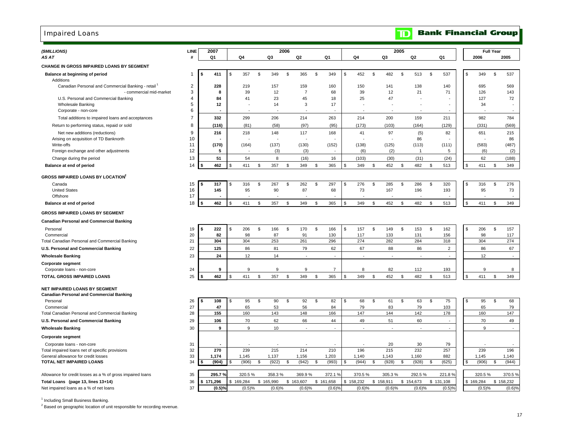# Impaired Loans

| (\$MILLIONS)                                                                              | LINE           |    | 2007           |     |           |                 | 2006 |                       |               |                |                 |              |              | 2005 |                         |                  |               |              | <b>Full Year</b> |                          |
|-------------------------------------------------------------------------------------------|----------------|----|----------------|-----|-----------|-----------------|------|-----------------------|---------------|----------------|-----------------|--------------|--------------|------|-------------------------|------------------|---------------|--------------|------------------|--------------------------|
| AS AT                                                                                     | #              |    | Q <sub>1</sub> |     | Q4        | Q <sub>3</sub>  |      | Q <sub>2</sub>        |               | Q1             | Q4              |              | Q3           |      | Q <sub>2</sub>          | Q <sub>1</sub>   |               | 2006         |                  | 2005                     |
| <b>CHANGE IN GROSS IMPAIRED LOANS BY SEGMENT</b>                                          |                |    |                |     |           |                 |      |                       |               |                |                 |              |              |      |                         |                  |               |              |                  |                          |
| Balance at beginning of period                                                            | $\mathbf{1}$   | \$ | 411            | \$  | 357       | \$<br>349       | \$   | 365                   | \$            | 349            | \$<br>452       | \$           | 482          | \$   | 513                     | \$<br>537        | \$            | 349          | \$               | 537                      |
| Additions                                                                                 |                |    |                |     |           |                 |      |                       |               |                |                 |              |              |      |                         |                  |               |              |                  |                          |
| Canadian Personal and Commercial Banking - retail <sup>1</sup><br>- commercial mid-market | 2<br>3         |    | 228<br>8       |     | 219<br>39 | 157<br>12       |      | 159<br>$\overline{7}$ |               | 160<br>68      | 150<br>39       |              | 141<br>12    |      | 138<br>21               | 140<br>71        |               | 695<br>126   |                  | 569<br>143               |
| U.S. Personal and Commercial Banking                                                      | $\overline{4}$ |    | 84             |     | 41        | 23              |      | 45                    |               | 18             | 25              |              | 47           |      |                         |                  |               | 127          |                  | 72                       |
| Wholesale Banking                                                                         | 5              |    | 12             |     |           | 14              |      | 3                     |               | 17             |                 |              |              |      |                         |                  |               | 34           |                  |                          |
| Corporate - non-core                                                                      | 6              |    |                |     |           |                 |      |                       |               |                |                 |              |              |      |                         |                  |               |              |                  |                          |
| Total additions to impaired loans and acceptances                                         | $\overline{7}$ |    | 332            |     | 299       | 206             |      | 214                   |               | 263            | 214             |              | 200          |      | 159                     | 211              |               | 982          |                  | 784                      |
| Return to performing status, repaid or sold                                               | 8              |    | (116)          |     | (81)      | (58)            |      | (97)                  |               | (95)           | (173)           |              | (103)        |      | (164)                   | (129)            |               | (331)        |                  | (569)                    |
| Net new additions (reductions)                                                            | 9              |    | 216            |     | 218       | 148             |      | 117                   |               | 168            | 41              |              | 97           |      | (5)                     | 82               |               | 651          |                  | 215                      |
| Arising on acquisition of TD Banknorth                                                    | 10             |    |                |     |           |                 |      |                       |               |                |                 |              |              |      | 86                      |                  |               |              |                  | 86                       |
| Write-offs<br>Foreign exchange and other adjustments                                      | 11<br>12       |    | (170)<br>5     |     | (164)     | (137)<br>(3)    |      | (130)<br>(3)          |               | (152)          | (138)<br>(6)    |              | (125)<br>(2) |      | (113)<br>$\overline{1}$ | (111)<br>5       |               | (583)<br>(6) |                  | (487)<br>(2)             |
| Change during the period                                                                  | 13             |    | 51             |     | 54        | 8               |      | (16)                  |               | 16             | (103)           |              | (30)         |      | (31)                    | (24)             |               | 62           |                  | (188)                    |
| Balance at end of period                                                                  | 14             |    | 462            |     | 411       | \$<br>357       | \$   | 349                   | \$            | 365            | \$<br>349       | \$           | 452          | \$   | 482                     | \$<br>513        | \$            | 411          | \$               | 349                      |
|                                                                                           |                |    |                |     |           |                 |      |                       |               |                |                 |              |              |      |                         |                  |               |              |                  |                          |
| <b>GROSS IMPAIRED LOANS BY LOCATION<sup>2</sup></b>                                       |                |    |                |     |           |                 |      |                       |               |                |                 |              |              |      |                         |                  |               |              |                  |                          |
| Canada<br><b>United States</b>                                                            | 15<br>16       | \$ | 317<br>145     | \$  | 316<br>95 | \$<br>267<br>90 | \$   | 262<br>87             | ${\mathbb S}$ | 297<br>68      | \$<br>276<br>73 | \$           | 285<br>167   | \$   | 286<br>196              | \$<br>320<br>193 | \$            | 316<br>95    | $$\mathbb{S}$$   | 276<br>73                |
| Offshore                                                                                  | 17             |    |                |     |           |                 |      |                       |               |                |                 |              |              |      |                         |                  |               |              |                  | $\overline{\phantom{a}}$ |
| Balance at end of period                                                                  | 18             |    | 462            |     | 411       | \$<br>357       | \$   | 349                   | \$            | 365            | \$<br>349       | \$           | 452          | \$   | 482                     | \$<br>513        | $\mathcal{L}$ | 411          | \$               | 349                      |
| <b>GROSS IMPAIRED LOANS BY SEGMENT</b>                                                    |                |    |                |     |           |                 |      |                       |               |                |                 |              |              |      |                         |                  |               |              |                  |                          |
| <b>Canadian Personal and Commercial Banking</b>                                           |                |    |                |     |           |                 |      |                       |               |                |                 |              |              |      |                         |                  |               |              |                  |                          |
| Personal                                                                                  | 19             | \$ | 222            | \$  | 206       | \$<br>166       | \$   | 170                   | \$            | 166            | \$<br>157       | $\mathbb{S}$ | 149          | \$   | 153                     | \$<br>162        | \$            | 206          | \$               | 157                      |
| Commercial                                                                                | 20             |    | 82             |     | 98        | 87              |      | 91                    |               | 130            | 117             |              | 133          |      | 131                     | 156              |               | 98           |                  | 117                      |
| Total Canadian Personal and Commercial Banking                                            | 21             |    | 304            |     | 304       | 253             |      | 261                   |               | 296            | 274             |              | 282          |      | 284                     | 318              |               | 304          |                  | 274                      |
| U.S. Personal and Commercial Banking                                                      | 22             |    | 125            |     | 86        | 81              |      | 79                    |               | 62             | 67              |              | 88           |      | 86                      | $\overline{2}$   |               | 86           |                  | 67                       |
| <b>Wholesale Banking</b>                                                                  | 23             |    | 24             |     | 12        | 14              |      |                       |               |                |                 |              |              |      |                         | $\overline{a}$   |               | 12           |                  | $\overline{\phantom{a}}$ |
| <b>Corporate segment</b>                                                                  |                |    |                |     |           |                 |      |                       |               |                |                 |              |              |      |                         |                  |               |              |                  |                          |
| Corporate loans - non-core                                                                | 24             |    | 9              |     | 9         | 9               |      | 9                     |               | 7              | 8               |              | 82           |      | 112                     | 193              |               | 9            |                  | 8                        |
| <b>TOTAL GROSS IMPAIRED LOANS</b>                                                         | 25             | S  | 462            | \$. | 411       | \$<br>357       | \$   | 349                   | \$            | 365            | \$<br>349       | \$           | 452          | \$   | 482                     | \$<br>513        | \$            | 411          | \$               | 349                      |
| NET IMPAIRED LOANS BY SEGMENT                                                             |                |    |                |     |           |                 |      |                       |               |                |                 |              |              |      |                         |                  |               |              |                  |                          |
| <b>Canadian Personal and Commercial Banking</b>                                           |                |    |                |     |           |                 |      |                       |               |                |                 |              |              |      |                         |                  |               |              |                  |                          |
| Personal                                                                                  | 26             | \$ | 108            | \$  | 95        | \$<br>90        | \$   | 92                    | \$            | 82             | \$<br>68        | \$           | 61           | \$   | 63                      | \$<br>75         | \$            | 95           | \$               | 68                       |
| Commercial<br>Total Canadian Personal and Commercial Banking                              | 27<br>28       |    | 47<br>155      |     | 65<br>160 | 53<br>143       |      | 56<br>148             |               | 84<br>166      | 79<br>147       |              | 83<br>144    |      | 79<br>142               | 103<br>178       |               | 65<br>160    |                  | 79<br>147                |
| U.S. Personal and Commercial Banking                                                      | 29             |    | 106            |     | 70        | 62              |      | 66                    |               | 44             | 49              |              | 51           |      | 60                      |                  |               | 70           |                  | 49                       |
| <b>Wholesale Banking</b>                                                                  | 30             |    | 9              |     | 9         | 10              |      | ÷,                    |               | $\blacksquare$ | ÷,              |              | ÷,           |      | ÷,                      | $\blacksquare$   |               | 9            |                  | $\blacksquare$           |
| <b>Corporate segment</b>                                                                  |                |    |                |     |           |                 |      |                       |               |                |                 |              |              |      |                         |                  |               |              |                  |                          |
| Corporate loans - non-core                                                                | 31             |    |                |     |           |                 |      |                       |               |                |                 |              | 20           |      | 30                      | 79               |               |              |                  |                          |
| Total impaired loans net of specific provisions                                           | 32             |    | 270            |     | 239       | 215             |      | 214                   |               | 210            | 196             |              | 215          |      | 232                     | 257              |               | 239          |                  | 196                      |
| General allowance for credit losses                                                       | 33             |    | 1,174          |     | 1,145     | 1,137           |      | 1,156                 |               | 1,203          | 1,140           |              | 1,143        |      | 1,160                   | 882              |               | 1,145        |                  | 1,140                    |
| TOTAL NET IMPAIRED LOANS                                                                  | 34             |    | (904)          | \$  | (906)     | \$<br>(922)     | \$   | (942)                 | \$            | (993)          | \$<br>(944)     | \$           | (928)        | \$   | (928)                   | \$<br>(625)      | S             | (906)        | \$               | (944)                    |
| Allowance for credit losses as a % of gross impaired loans                                | 35             |    | 295.7%         |     | 320.5%    | 358.3%          |      | 369.9%                |               | 372.1 %        | 370.5%          |              | 305.3%       |      | 292.5%                  | 221.8%           |               | 320.5%       |                  | 370.5%                   |
| Total Loans (page 13, lines 13+14)                                                        | 36             | \$ | 171,296        | \$  | 169,284   | \$165,990       | \$   | 163,607               |               | \$161,658      | \$<br>158,232   | \$           | 158,911      |      | \$154,673               | \$131,108        |               | \$169,284    |                  | \$158,232                |
| Net impaired loans as a % of net loans                                                    | 37             |    | (0.5)%         |     | (0.5)%    | (0.6)%          |      | (0.6)%                |               | (0.6)%         | (0.6)%          |              | (0.6)%       |      | (0.6)%                  | (0.5)%           |               | (0.5)%       |                  | (0.6)%                   |
|                                                                                           |                |    |                |     |           |                 |      |                       |               |                |                 |              |              |      |                         |                  |               |              |                  |                          |

<sup>1</sup> Including Small Business Banking.

<sup>2</sup> Based on geographic location of unit responsible for recording revenue.

### **Bank Financial Group**  $\mathbf{D}$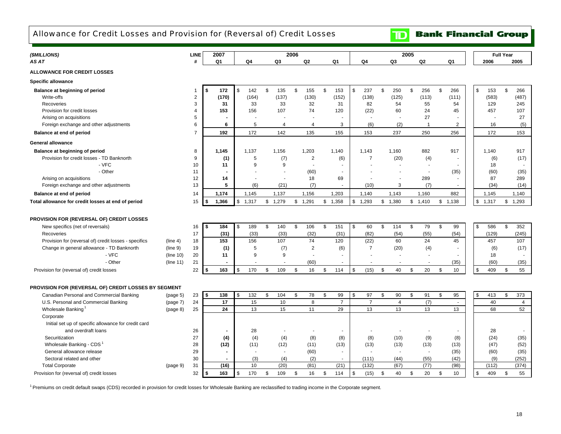# Allowance for Credit Losses and Provision for (Reversal of) Credit Losses

**TD** Bank Financial Group

| (\$MILLIONS)                                                                                     |                      | <b>LINE</b>    | 2007              |         |           |         |             | 2006 |                |                        |                          |         |                | 2005 |                          |               |                |              | <b>Full Year</b> |                |
|--------------------------------------------------------------------------------------------------|----------------------|----------------|-------------------|---------|-----------|---------|-------------|------|----------------|------------------------|--------------------------|---------|----------------|------|--------------------------|---------------|----------------|--------------|------------------|----------------|
| AS AT                                                                                            |                      | #              | Q1                |         | Q4        |         | Q3          |      | Q2             | Q1                     | Q4                       |         | Q3             |      | Q2                       |               | Q1             | 2006         |                  | 2005           |
| <b>ALLOWANCE FOR CREDIT LOSSES</b>                                                               |                      |                |                   |         |           |         |             |      |                |                        |                          |         |                |      |                          |               |                |              |                  |                |
| <b>Specific allowance</b>                                                                        |                      |                |                   |         |           |         |             |      |                |                        |                          |         |                |      |                          |               |                |              |                  |                |
| Balance at beginning of period                                                                   |                      | -1             | 172<br>\$         | \$      | 142       | \$      | 135         | \$   | 155            | \$<br>153              | \$<br>237                | \$      | 250            | \$   | 256                      | $\mathfrak s$ | 266            | \$<br>153    | \$               | 266            |
| Write-offs                                                                                       |                      | $\overline{2}$ | (170)             |         | (164)     |         | (137)       |      | (130)          | (152)                  | (138)                    |         | (125)          |      | (113)                    |               | (111)          | (583)        |                  | (487)          |
| Recoveries                                                                                       |                      | 3              | 31                |         | 33        |         | 33          |      | 32             | 31                     | 82                       |         | 54             |      | 55                       |               | 54             | 129          |                  | 245            |
| Provision for credit losses                                                                      |                      | $\overline{4}$ | 153               |         | 156       |         | 107         |      | 74             | 120                    | (22)                     |         | 60             |      | 24                       |               | 45             | 457          |                  | 107            |
| Arising on acquisitions                                                                          |                      | 5              |                   |         |           |         |             |      |                |                        |                          |         |                |      | 27                       |               |                |              |                  | 27             |
| Foreign exchange and other adjustments                                                           |                      | 6              | 6                 |         | 5         |         | 4           |      | $\overline{4}$ | 3                      | (6)                      |         | (2)            |      | $\overline{1}$           |               | $\overline{2}$ | 16           |                  | (5)            |
| Balance at end of period                                                                         |                      | $\overline{7}$ | 192               |         | 172       |         | 142         |      | 135            | 155                    | 153                      |         | 237            |      | 250                      |               | 256            | 172          |                  | 153            |
| <b>General allowance</b>                                                                         |                      |                |                   |         |           |         |             |      |                |                        |                          |         |                |      |                          |               |                |              |                  |                |
| Balance at beginning of period                                                                   |                      | 8              | 1,145             |         | 1.137     |         | 1,156       |      | 1,203          | 1,140                  | 1.143                    |         | 1.160          |      | 882                      |               | 917            | 1,140        |                  | 917            |
| Provision for credit losses - TD Banknorth                                                       |                      | 9              | (1)               |         | 5         |         | (7)         |      | $\overline{2}$ | (6)                    | $\overline{7}$           |         | (20)           |      | (4)                      |               |                | (6)          |                  | (17)           |
| - VFC                                                                                            |                      | 10             | 11                |         | 9         |         | 9           |      | $\sim$         |                        |                          |         |                |      |                          |               |                | 18           |                  |                |
| - Other                                                                                          |                      | 11             | $\blacksquare$    |         |           |         |             |      | (60)           | $\sim$                 |                          |         |                |      | $\overline{\phantom{a}}$ |               | (35)           | (60)         |                  | (35)           |
| Arising on acquisitions                                                                          |                      | 12             | 14                |         |           |         |             |      | 18             | 69                     |                          |         |                |      | 289                      |               |                | 87           |                  | 289            |
| Foreign exchange and other adjustments                                                           |                      | 13             | 5                 |         | (6)       |         | (21)        |      | (7)            |                        | (10)                     |         | 3              |      | (7)                      |               |                | (34)         |                  | (14)           |
| Balance at end of period                                                                         |                      | 14             | 1,174             |         | 1,145     |         | 1,137       |      | 1,156          | 1,203                  | 1,140                    |         | 1,143          |      | 1,160                    |               | 882            | 1,145        |                  | 1,140          |
| Total allowance for credit losses at end of period                                               |                      | 15             | 1,366<br>\$       | \$1,317 |           | \$1,279 |             |      | \$1,291        | \$1,358                | \$1,293                  | \$1,380 |                |      | \$1,410                  |               | \$1,138        | \$1,317      | \$               | 1,293          |
|                                                                                                  |                      |                |                   |         |           |         |             |      |                |                        |                          |         |                |      |                          |               |                |              |                  |                |
| PROVISION FOR (REVERSAL OF) CREDIT LOSSES                                                        |                      |                |                   |         |           |         |             |      |                |                        |                          |         |                |      |                          |               |                |              |                  |                |
| New specifics (net of reversals)                                                                 |                      | 16             | <b>S</b><br>184   | \$      | 189       | \$      | 140         | \$   | 106            | \$<br>151              | \$<br>60                 | \$      | 114            | \$   | 79                       | \$            | 99             | \$<br>586    | \$               | 352            |
| Recoveries                                                                                       |                      | 17             | (31)              |         | (33)      |         | (33)        |      | (32)           | (31)                   | (82)                     |         | (54)           |      | (55)                     |               | (54)           | (129)        |                  | (245)          |
| Provision for (reversal of) credit losses - specifics                                            | (line 4)             | 18             | 153               |         | 156       |         | 107         |      | 74             | 120                    | (22)                     |         | 60             |      | 24                       |               | 45             | 457          |                  | 107            |
| Change in general allowance - TD Banknorth                                                       | (line 9)             | 19             | (1)               |         | 5         |         | (7)         |      | $\overline{2}$ | (6)                    | $\overline{7}$           |         | (20)           |      | (4)                      |               |                | (6)          |                  | (17)           |
| - VFC                                                                                            | (line 10)            | 20             | 11                |         | 9         |         | 9           |      | $\overline{a}$ | ٠                      |                          |         | $\blacksquare$ |      | $\sim$                   |               |                | 18           |                  |                |
| - Other                                                                                          | (line 11)            | 21             | $\blacksquare$    |         |           |         |             |      | (60)           |                        |                          |         |                |      |                          |               | (35)           | (60)         |                  | (35)           |
| Provision for (reversal of) credit losses                                                        |                      | 22             | 163<br>- \$       | \$      | 170       | \$      | 109         | \$   | 16             | \$<br>114              | \$<br>(15)               | \$      | 40             | \$   | 20                       | \$            | 10             | \$<br>409    | \$               | 55             |
|                                                                                                  |                      |                |                   |         |           |         |             |      |                |                        |                          |         |                |      |                          |               |                |              |                  |                |
|                                                                                                  |                      |                |                   |         |           |         |             |      |                |                        |                          |         |                |      |                          |               |                |              |                  |                |
| PROVISION FOR (REVERSAL OF) CREDIT LOSSES BY SEGMENT<br>Canadian Personal and Commercial Banking |                      | 23             | $\sqrt{3}$<br>138 | \$      | 132       | \$      | 104         | \$   | 78             | \$<br>99               | \$<br>97                 | \$      | 90             | \$   | 91                       | \$            | 95             | \$<br>413    | \$               | 373            |
| U.S. Personal and Commercial Banking                                                             | (page 5)<br>(page 7) | 24             | 17                |         | 15        |         | 10          |      | 8              | $\overline{7}$         | $\overline{7}$           |         | 4              |      | (7)                      |               | $\sim$         | 40           |                  | 4              |
| Wholesale Banking                                                                                | (page 8)             | 25             | 24                |         | 13        |         | 15          |      | 11             | 29                     | 13                       |         | 13             |      | 13                       |               | 13             | 68           |                  | 52             |
| Corporate                                                                                        |                      |                |                   |         |           |         |             |      |                |                        |                          |         |                |      |                          |               |                |              |                  |                |
| Initial set up of specific allowance for credit card                                             |                      |                |                   |         |           |         |             |      |                |                        |                          |         |                |      |                          |               |                |              |                  |                |
|                                                                                                  |                      |                |                   |         |           |         |             |      |                |                        |                          |         |                |      |                          |               |                |              |                  |                |
| and overdraft loans                                                                              |                      | 26<br>27       |                   |         | 28        |         |             |      |                | $\blacksquare$         |                          |         |                |      |                          |               |                | 28<br>(24)   |                  |                |
| Securitization<br>Wholesale Banking - CDS                                                        |                      |                | (4)               |         | (4)       |         | (4)         |      | (8)            | (8)                    | (8)                      |         | (10)           |      | (9)                      |               | (8)            |              |                  | (35)           |
|                                                                                                  |                      | 28             | (12)              |         | (11)      |         | (12)        |      | (11)           | (13)                   | (13)                     |         | (13)           |      | (13)                     |               | (13)           | (47)         |                  | (52)           |
| General allowance release                                                                        |                      | 29             | $\blacksquare$    |         | $\sim$    |         | $\sim$      |      | (60)           | $\sim$                 | $\overline{\phantom{a}}$ |         | $\blacksquare$ |      | $\sim$                   |               | (35)           | (60)         |                  | (35)           |
| Sectoral related and other                                                                       |                      | 30<br>31       | (16)              |         | (3)<br>10 |         | (4)<br>(20) |      | (2)<br>(81)    | $\blacksquare$<br>(21) | (111)<br>(132)           |         | (44)<br>(67)   |      | (55)<br>(77)             |               | (42)<br>(98)   | (9)<br>(112) |                  | (252)<br>(374) |
| <b>Total Corporate</b>                                                                           | (page 9)             |                |                   |         |           |         |             |      |                |                        |                          |         |                |      |                          |               |                |              |                  |                |
| Provision for (reversal of) credit losses                                                        |                      | 32             | 163<br>-\$        | \$      | 170       | \$      | 109         | \$   | 16             | \$<br>114              | \$<br>(15)               | \$      | 40             | \$   | 20                       | \$            | 10             | \$<br>409    | \$               | 55             |

<sup>1</sup> Premiums on credit default swaps (CDS) recorded in provision for credit losses for Wholesale Banking are reclassified to trading income in the Corporate segment.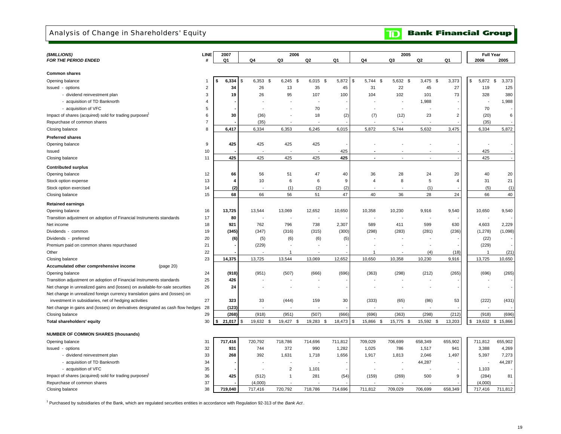### Analysis of Change in Shareholders' Equity

**TD** Bank Financial Group

| (\$MILLIONS)                                                                   | <b>LINE</b>    | 2007        |                          | 2006         |                          |         |                          | 2005                     |            |                | <b>Full Year</b>        |                  |  |
|--------------------------------------------------------------------------------|----------------|-------------|--------------------------|--------------|--------------------------|---------|--------------------------|--------------------------|------------|----------------|-------------------------|------------------|--|
| <b>FOR THE PERIOD ENDED</b>                                                    | #              | Q1          | Q4                       | Q3           | Q2                       | Q1      | Q4                       | Q3                       | Q2         | Q1             | 2006                    | 2005             |  |
|                                                                                |                |             |                          |              |                          |         |                          |                          |            |                |                         |                  |  |
| <b>Common shares</b>                                                           |                |             |                          |              |                          |         |                          |                          |            |                |                         |                  |  |
| Opening balance                                                                | $\mathbf{1}$   | 6,334       | 6,353<br>\$<br>-9        | $6,245$ \$   | $6,015$ \$               | 5,872   | 5,744<br>\$<br>\$        | 5,632<br>- \$            | $3,475$ \$ | 3,373          | 5,872<br>\$             | \$<br>3,373      |  |
| Issued - options                                                               | $\overline{2}$ | 34          | 26                       | 13           | 35                       | 45      | 31                       | 22                       | 45         | 27             | 119                     | 125              |  |
| - dividend reinvestment plan                                                   | 3              | 19          | 26                       | 95           | 107                      | 100     | 104                      | 102                      | 101        | 73             | 328                     | 380              |  |
| - acquisition of TD Banknorth                                                  | 4              |             |                          |              | $\overline{\phantom{a}}$ |         |                          |                          | 1,988      |                | ÷                       | 1,988            |  |
| - acquisition of VFC                                                           | 5              |             |                          |              | 70                       |         |                          | $\overline{\phantom{a}}$ |            |                | 70                      |                  |  |
| Impact of shares (acquired) sold for trading purposes'                         | 6              | 30          | (36)                     |              | 18                       | (2)     | (7)                      | (12)                     | 23         | $\overline{2}$ | (20)                    | 6                |  |
| Repurchase of common shares                                                    | $\overline{7}$ |             | (35)                     |              |                          |         |                          |                          |            |                | (35)                    |                  |  |
| Closing balance                                                                | 8              | 6,417       | 6,334                    | 6,353        | 6,245                    | 6,015   | 5,872                    | 5,744                    | 5,632      | 3,475          | 6,334                   | 5,872            |  |
| <b>Preferred shares</b>                                                        |                |             |                          |              |                          |         |                          |                          |            |                |                         |                  |  |
| Opening balance                                                                | 9              | 425         | 425                      | 425          | 425                      |         |                          |                          |            |                |                         |                  |  |
| Issued                                                                         | 10             |             |                          |              |                          | 425     |                          |                          |            |                | 425                     |                  |  |
| Closing balance                                                                | 11             | 425         | 425                      | 425          | 425                      | 425     | $\overline{\phantom{a}}$ |                          |            |                | 425                     |                  |  |
| <b>Contributed surplus</b>                                                     |                |             |                          |              |                          |         |                          |                          |            |                |                         |                  |  |
| Opening balance                                                                | 12             | 66          | 56                       | 51           | 47                       | 40      | 36                       | 28                       | 24         | 20             | 40                      | 20               |  |
| Stock option expense                                                           | 13             | 4           | 10                       | 6            | 6                        | 9       | $\overline{4}$           | 8                        | 5          | $\overline{4}$ | 31                      | 21               |  |
| Stock option exercised                                                         | 14             | (2)         |                          | (1)          | (2)                      | (2)     |                          |                          | (1)        |                | (5)                     | (1)              |  |
| Closing balance                                                                | 15             | 68          | 66                       | 56           | 51                       | 47      | 40                       | 36                       | 28         | 24             | 66                      | 40               |  |
|                                                                                |                |             |                          |              |                          |         |                          |                          |            |                |                         |                  |  |
| <b>Retained earnings</b>                                                       |                |             |                          |              |                          |         |                          |                          |            |                |                         |                  |  |
| Opening balance                                                                | 16             | 13,725      | 13,544                   | 13,069       | 12,652                   | 10,650  | 10,358                   | 10,230                   | 9,916      | 9,540          | 10,650                  | 9,540            |  |
| Transition adjustment on adoption of Financial Instruments standards           | 17             | 80          | $\overline{\phantom{a}}$ |              | $\overline{\phantom{a}}$ |         |                          |                          |            |                |                         |                  |  |
| Net income                                                                     | 18             | 921         | 762                      | 796          | 738                      | 2,307   | 589                      | 411                      | 599        | 630            | 4,603                   | 2,229            |  |
| Dividends - common                                                             | 19             | (345)       | (347)                    | (316)        | (315)                    | (300)   | (298)                    | (283)                    | (281)      | (236)          | (1, 278)                | (1,098)          |  |
| Dividends - preferred                                                          | 20             | (6)         | (5)                      | (6)          | (6)                      | (5)     |                          |                          |            |                | (22)                    |                  |  |
| Premium paid on common shares repurchased                                      | 21             |             | (229)                    | $\mathbf 1$  |                          |         |                          |                          |            |                | (229)<br>$\overline{1}$ |                  |  |
| Other                                                                          | 22             |             |                          |              |                          |         | -1                       |                          | (4)        | (18)           |                         | (21)             |  |
| Closing balance                                                                | 23             | 14,375      | 13,725                   | 13,544       | 13,069                   | 12,652  | 10,650                   | 10,358                   | 10,230     | 9,916          | 13,725                  | 10,650           |  |
| Accumulated other comprehensive income<br>(page 20)                            |                |             |                          |              |                          |         |                          |                          |            |                |                         |                  |  |
| Opening balance                                                                | 24             | (918)       | (951)                    | (507)        | (666)                    | (696)   | (363)                    | (298)                    | (212)      | (265)          | (696)                   | (265)            |  |
| Transition adjustment on adoption of Financial Instruments standards           | 25             | 426         |                          |              |                          |         |                          |                          |            |                |                         |                  |  |
| Net change in unrealized gains and (losses) on available-for-sale securities   | 26             | 24          | $\overline{\phantom{a}}$ |              | $\overline{\phantom{a}}$ |         |                          |                          |            |                | $\overline{a}$          |                  |  |
| Net change in unrealized foreign currency translation gains and (losses) on    |                |             |                          |              |                          |         |                          |                          |            |                |                         |                  |  |
| investment in subsidiaries, net of hedging activities                          | 27             | 323         | 33                       | (444)        | 159                      | 30      | (333)                    | (65)                     | (86)       | 53             | (222)                   | (431)            |  |
| Net change in gains and (losses) on derivatives designated as cash flow hedges | 28             | (123)       |                          |              |                          |         |                          |                          |            |                |                         |                  |  |
| Closing balance                                                                | 29<br>30       | (268)       | (918)                    | (951)        | (507)                    | (666)   | (696)<br>\$              | (363)                    | (298)      | (212)          | (918)                   | (696)            |  |
| Total shareholders' equity                                                     |                | $21,017$ \$ | 19,632 \$                | 19,427 \$    | 19,283 \$                | 18,473  | 15,866 \$                | 15,775 \$                | 15,592 \$  | 13,203         | \$                      | 19,632 \$ 15,866 |  |
| <b>NUMBER OF COMMON SHARES (thousands)</b>                                     |                |             |                          |              |                          |         |                          |                          |            |                |                         |                  |  |
| Opening balance                                                                | 31             | 717,416     | 720,792                  | 718,786      | 714,696                  | 711,812 | 709,029                  | 706,699                  | 658,349    | 655,902        | 711,812                 | 655,902          |  |
| Issued - options                                                               | 32             | 931         | 744                      | 372          | 990                      | 1,282   | 1,025                    | 786                      | 1,517      | 941            | 3,388                   | 4,269            |  |
| - dividend reinvestment plan                                                   | 33             | 268         | 392                      | 1,631        | 1,718                    | 1,656   | 1,917                    | 1,813                    | 2,046      | 1,497          | 5,397                   | 7,273            |  |
| - acquisition of TD Banknorth                                                  | 34             |             |                          |              |                          |         |                          |                          | 44,287     |                |                         | 44,287           |  |
| - acquisition of VFC                                                           | 35             |             |                          | $\sqrt{2}$   | 1,101                    |         | $\overline{\phantom{a}}$ | $\overline{\phantom{a}}$ |            |                | 1,103                   |                  |  |
| Impact of shares (acquired) sold for trading purposes <sup>1</sup>             | 36             | 425         | (512)                    | $\mathbf{1}$ | 281                      | (54)    | (159)                    | (269)                    | 500        | 9              | (284)                   | 81               |  |
| Repurchase of common shares                                                    | 37             |             | (4,000)                  |              |                          |         |                          |                          |            |                | (4,000)                 |                  |  |
| Closing balance                                                                | 38             | 719,040     | 717,416                  | 720,792      | 718,786                  | 714,696 | 711,812                  | 709,029                  | 706,699    | 658,349        | 717,416                 | 711,812          |  |

1 Purchased by subsidiaries of the Bank, which are regulated securities entities in accordance with Regulation 92-313 of the *Bank Act* .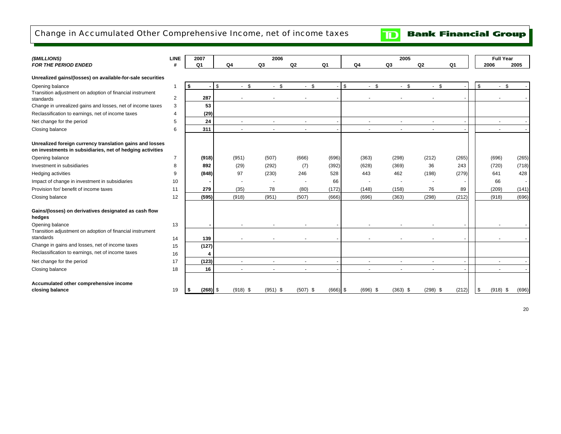# Change in Accumulated Other Comprehensive Income, net of income taxes

**Bank Financial Group**  $|\mathbf{D}|$ 

| (\$MILLIONS)                                                                                                          | <b>LINE</b>    | 2007             |                                    | 2006           |                      |                |                          | 2005               |                |                |      | <b>Full Year</b>         |       |
|-----------------------------------------------------------------------------------------------------------------------|----------------|------------------|------------------------------------|----------------|----------------------|----------------|--------------------------|--------------------|----------------|----------------|------|--------------------------|-------|
| <b>FOR THE PERIOD ENDED</b>                                                                                           | #              | Q <sub>1</sub>   | Q <sub>4</sub>                     | Q <sub>3</sub> | Q2                   | Q <sub>1</sub> | Q <sub>4</sub>           | Q <sub>3</sub>     | Q2             | Q <sub>1</sub> |      | 2006                     | 2005  |
| Unrealized gains/(losses) on available-for-sale securities                                                            |                |                  |                                    |                |                      |                |                          |                    |                |                |      |                          |       |
| Opening balance                                                                                                       | $\overline{1}$ | \$               | <b>S</b><br>l \$<br>$\blacksquare$ | $-$ \$         | $-$ \$               |                | \$<br>$\blacksquare$     | <b>S</b><br>$-$ \$ | $-$ \$         |                | \$   | \$<br>$\sim$             |       |
| Transition adjustment on adoption of financial instrument<br>standards                                                | $\overline{2}$ | 287              | $\frac{1}{2}$                      |                |                      |                |                          |                    |                |                |      |                          |       |
| Change in unrealized gains and losses, net of income taxes                                                            | 3              | 53               |                                    |                |                      |                |                          |                    |                |                |      |                          |       |
| Reclassification to earnings, net of income taxes                                                                     | 4              | (29)             |                                    |                |                      |                |                          |                    |                |                |      |                          |       |
| Net change for the period                                                                                             | 5              | 24               | $\overline{a}$                     |                |                      |                |                          |                    |                |                |      |                          |       |
| Closing balance                                                                                                       | 6              | 311              | $\overline{a}$                     | $\sim$         | $\ddot{\phantom{1}}$ |                | $\ddot{\phantom{1}}$     | $\sim$             | $\blacksquare$ |                |      | $\overline{\phantom{a}}$ |       |
| Unrealized foreign currency translation gains and losses<br>on investments in subsidiaries, net of hedging activities |                |                  |                                    |                |                      |                |                          |                    |                |                |      |                          |       |
| Opening balance                                                                                                       | 7              | (918)            | (951)                              | (507)          | (666)                | (696)          | (363)                    | (298)              | (212)          | (265)          |      | (696)                    | (265) |
| Investment in subsidiaries                                                                                            | 8              | 892              | (29)                               | (292)          | (7)                  | (392)          | (628)                    | (369)              | 36             | 243            |      | (720)                    | (718) |
| Hedging activities                                                                                                    | 9              | (848)            | 97                                 | (230)          | 246                  | 528            | 443                      | 462                | (198)          | (279)          |      | 641                      | 428   |
| Impact of change in investment in subsidiaries                                                                        | 10             |                  |                                    |                |                      | 66             |                          |                    |                |                |      | 66                       |       |
| Provision for/ benefit of income taxes                                                                                | 11             | 279              | (35)                               | 78             | (80)                 | (172)          | (148)                    | (158)              | 76             | 89             |      | (209)                    | (141) |
| Closing balance                                                                                                       | 12             | (595)            | (918)                              | (951)          | (507)                | (666)          | (696)                    | (363)              | (298)          | (212)          |      | (918)                    | (696) |
| Gains/(losses) on derivatives designated as cash flow<br>hedges                                                       |                |                  |                                    |                |                      |                |                          |                    |                |                |      |                          |       |
| Opening balance                                                                                                       | 13             | $\blacksquare$   | $\blacksquare$                     |                |                      |                |                          |                    |                |                |      |                          |       |
| Transition adjustment on adoption of financial instrument<br>standards                                                | 14             | 139              |                                    |                |                      |                |                          |                    |                |                |      |                          |       |
| Change in gains and losses, net of income taxes                                                                       | 15             | (127)            |                                    |                |                      |                |                          |                    |                |                |      |                          |       |
| Reclassification to earnings, net of income taxes                                                                     | 16             | 4                |                                    |                |                      |                |                          |                    |                |                |      |                          |       |
| Net change for the period                                                                                             | 17             | (123)            | $\sim$                             |                | $\blacksquare$       |                | $\overline{\phantom{a}}$ |                    |                |                |      |                          |       |
| Closing balance                                                                                                       | 18             | 16               |                                    |                |                      |                |                          |                    |                |                |      |                          |       |
| Accumulated other comprehensive income<br>closing balance                                                             | 19             | $(268)$ \$<br>\$ | $(918)$ \$                         | $(951)$ \$     | $(507)$ \$           | $(666)$ \$     | $(696)$ \$               | $(363)$ \$         | $(298)$ \$     | (212)          | l \$ | $(918)$ \$               | (696) |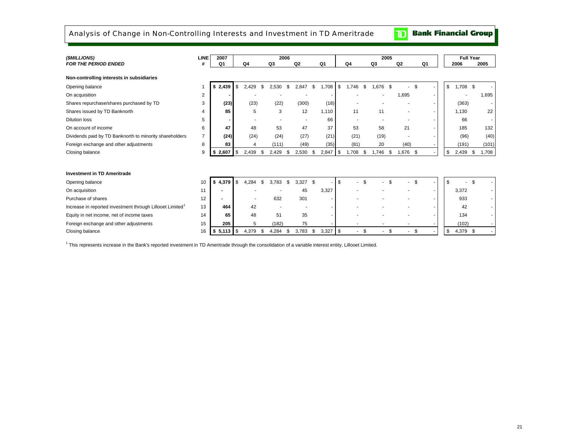Analysis of Change in Non-Controlling Interests and Investment in TD Ameritrade

**Bank Financial Group** 

 $\mathbf{D}$ 

| (\$MILLIONS)                                                          | <b>LINE</b>    | 2007    |             | 2006  |                |    |                          |      | 2005  |     |       |      |                |    |    | <b>Full Year</b> |        |
|-----------------------------------------------------------------------|----------------|---------|-------------|-------|----------------|----|--------------------------|------|-------|-----|-------|------|----------------|----|----|------------------|--------|
| <b>FOR THE PERIOD ENDED</b>                                           | #              | Q1      | Q4          | Q3    | Q <sub>2</sub> |    | Q <sub>1</sub>           |      | Q4    |     | Q3    |      | Q <sub>2</sub> |    | Q1 | 2006             | 2005   |
| Non-controlling interests in subsidiaries                             |                |         |             |       |                |    |                          |      |       |     |       |      |                |    |    |                  |        |
| Opening balance                                                       |                | \$2,439 | \$<br>2,429 | 2.530 | 2.847          | \$ | 1,708                    | \$   | 1.746 | \$. | 1,676 | - \$ |                | \$ |    | \$<br>1,708 \$   |        |
| On acquisition                                                        | 2              |         |             |       |                |    |                          |      |       |     |       |      | 1,695          |    |    |                  | 1,695  |
| Shares repurchase/shares purchased by TD                              | 3              | (23)    | (23)        | (22)  | (300)          |    | (18)                     |      |       |     |       |      |                |    |    | (363)            | $\sim$ |
| Shares issued by TD Banknorth                                         | 4              | 85      | 5           | 3     | 12             |    | 1,110                    |      | 11    |     | 11    |      | $\overline{a}$ |    |    | 1.130            | 22     |
| <b>Dilution loss</b>                                                  | 5              |         |             |       |                |    | 66                       |      |       |     |       |      |                |    |    | 66               | $\sim$ |
| On account of income                                                  | 6              | 47      | 48          | 53    | 47             |    | 37                       |      | 53    |     | 58    |      | 21             |    |    | 185              | 132    |
| Dividends paid by TD Banknorth to minority shareholders               | $\overline{7}$ | (24)    | (24)        | (24)  | (27)           |    | (21)                     |      | (21)  |     | (19)  |      |                |    |    | (96)             | (40)   |
| Foreign exchange and other adjustments                                | 8              | 83      | 4           | (111) | (49)           |    | (35)                     |      | (81)  |     | 20    |      | (40)           |    |    | (191)            | (101)  |
| Closing balance                                                       | 9              | 2,607   | \$<br>2,439 | 2,429 | \$<br>2,530    | \$ | 2,847                    | \$   | 1,708 | \$  | 1,746 | \$   | 1,676 \$       |    |    | \$<br>$2,439$ \$ | 1,708  |
|                                                                       |                |         |             |       |                |    |                          |      |       |     |       |      |                |    |    |                  |        |
| <b>Investment in TD Ameritrade</b>                                    |                |         |             |       |                |    |                          |      |       |     |       |      |                |    |    |                  |        |
| Opening balance                                                       | 10             | \$4,379 | \$<br>4.284 | 3.783 | \$<br>3.327    | \$ | $\overline{\phantom{a}}$ | l \$ | - \$  |     |       | \$   | - \$           |    |    | \$               |        |
| On acquisition                                                        | 11             |         |             |       | 45             |    | 3,327                    |      |       |     |       |      |                |    |    | 3,372            | $\sim$ |
| Purchase of shares                                                    | 12             |         |             | 632   | 301            |    | ٠                        |      |       |     |       |      |                |    |    | 933              | $\sim$ |
| Increase in reported investment through Lillooet Limited <sup>1</sup> | 13             | 464     | 42          |       |                |    |                          |      |       |     |       |      |                |    |    | 42               |        |
| Equity in net income, net of income taxes                             | 14             | 65      | 48          | 51    | 35             |    | ٠                        |      |       |     |       |      |                |    |    | 134              | $\sim$ |
| Foreign exchange and other adjustments                                | 15             | 205     | 5           | (182) | 75             |    |                          |      |       |     |       |      |                |    |    | (102)            |        |
| Closing balance                                                       | 16             | \$5,113 | \$<br>4,379 | 4,284 | \$<br>3,783    | \$ | $3,327$ \$               |      |       | -\$ |       | \$   | $\sim$         | \$ |    | \$<br>4,379 \$   |        |

1 This represents increase in the Bank's reported investment in TD Ameritrade through the consolidation of a variable interest entity, Lillooet Limited.